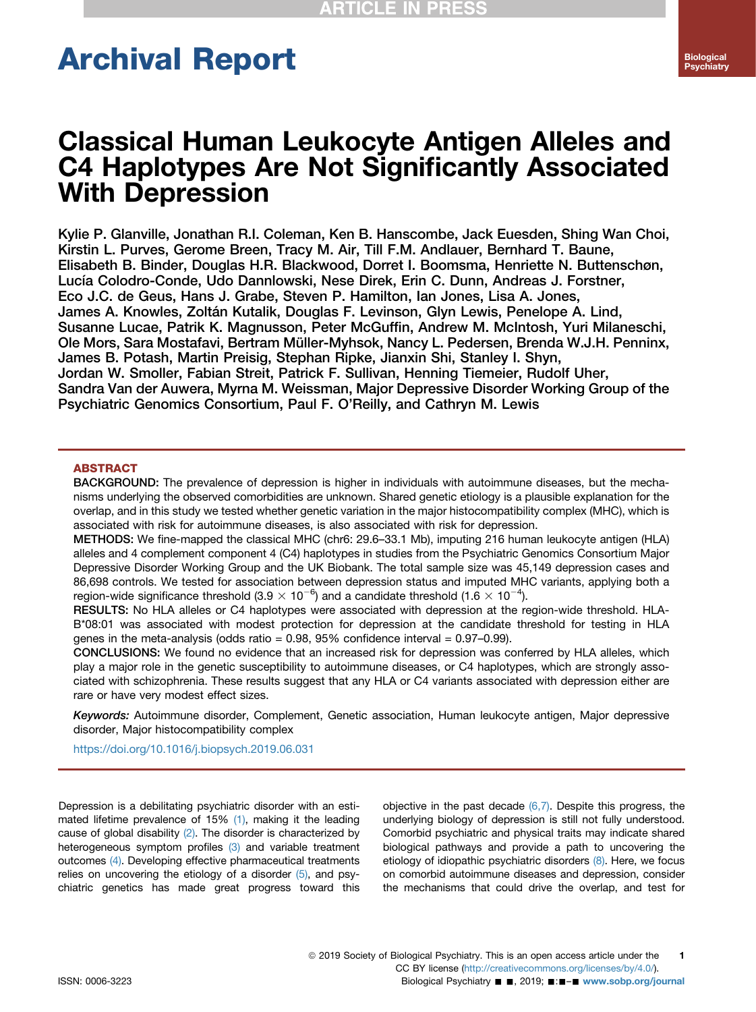# Archival Report

## Classical Human Leukocyte Antigen Alleles and C4 Haplotypes Are Not Significantly Associated With Depression

Kylie P. Glanville, Jonathan R.I. Coleman, Ken B. Hanscombe, Jack Euesden, Shing Wan Choi, Kirstin L. Purves, Gerome Breen, Tracy M. Air, Till F.M. Andlauer, Bernhard T. Baune, Elisabeth B. Binder, Douglas H.R. Blackwood, Dorret I. Boomsma, Henriette N. Buttenschøn, Lucía Colodro-Conde, Udo Dannlowski, Nese Direk, Erin C. Dunn, Andreas J. Forstner, Eco J.C. de Geus, Hans J. Grabe, Steven P. Hamilton, Ian Jones, Lisa A. Jones, James A. Knowles, Zoltán Kutalik, Douglas F. Levinson, Glyn Lewis, Penelope A. Lind, Susanne Lucae, Patrik K. Magnusson, Peter McGuffin, Andrew M. McIntosh, Yuri Milaneschi, Ole Mors, Sara Mostafavi, Bertram Müller-Myhsok, Nancy L. Pedersen, Brenda W.J.H. Penninx, James B. Potash, Martin Preisig, Stephan Ripke, Jianxin Shi, Stanley I. Shyn, Jordan W. Smoller, Fabian Streit, Patrick F. Sullivan, Henning Tiemeier, Rudolf Uher, Sandra Van der Auwera, Myrna M. Weissman, Major Depressive Disorder Working Group of the Psychiatric Genomics Consortium, Paul F. O'Reilly, and Cathryn M. Lewis

### ABSTRACT

BACKGROUND: The prevalence of depression is higher in individuals with autoimmune diseases, but the mechanisms underlying the observed comorbidities are unknown. Shared genetic etiology is a plausible explanation for the overlap, and in this study we tested whether genetic variation in the major histocompatibility complex (MHC), which is associated with risk for autoimmune diseases, is also associated with risk for depression.

METHODS: We fine-mapped the classical MHC (chr6: 29.6–33.1 Mb), imputing 216 human leukocyte antigen (HLA) alleles and 4 complement component 4 (C4) haplotypes in studies from the Psychiatric Genomics Consortium Major Depressive Disorder Working Group and the UK Biobank. The total sample size was 45,149 depression cases and 86,698 controls. We tested for association between depression status and imputed MHC variants, applying both a region-wide significance threshold (3.9  $\times$  10<sup>-6</sup>) and a candidate threshold (1.6  $\times$  10<sup>-4</sup>).

RESULTS: No HLA alleles or C4 haplotypes were associated with depression at the region-wide threshold. HLA-B\*08:01 was associated with modest protection for depression at the candidate threshold for testing in HLA genes in the meta-analysis (odds ratio  $= 0.98, 95\%$  confidence interval  $= 0.97-0.99$ ).

CONCLUSIONS: We found no evidence that an increased risk for depression was conferred by HLA alleles, which play a major role in the genetic susceptibility to autoimmune diseases, or C4 haplotypes, which are strongly associated with schizophrenia. These results suggest that any HLA or C4 variants associated with depression either are rare or have very modest effect sizes.

Keywords: Autoimmune disorder, Complement, Genetic association, Human leukocyte antigen, Major depressive disorder, Major histocompatibility complex

<https://doi.org/10.1016/j.biopsych.2019.06.031>

Depression is a debilitating psychiatric disorder with an esti-mated lifetime prevalence of 15% [\(1\),](#page-10-0) making it the leading cause of global disability  $(2)$ . The disorder is characterized by heterogeneous symptom profiles [\(3\)](#page-10-0) and variable treatment outcomes [\(4\).](#page-10-0) Developing effective pharmaceutical treatments relies on uncovering the etiology of a disorder  $(5)$ , and psychiatric genetics has made great progress toward this

objective in the past decade  $(6,7)$ . Despite this progress, the underlying biology of depression is still not fully understood. Comorbid psychiatric and physical traits may indicate shared biological pathways and provide a path to uncovering the etiology of idiopathic psychiatric disorders [\(8\)](#page-10-0). Here, we focus on comorbid autoimmune diseases and depression, consider the mechanisms that could drive the overlap, and test for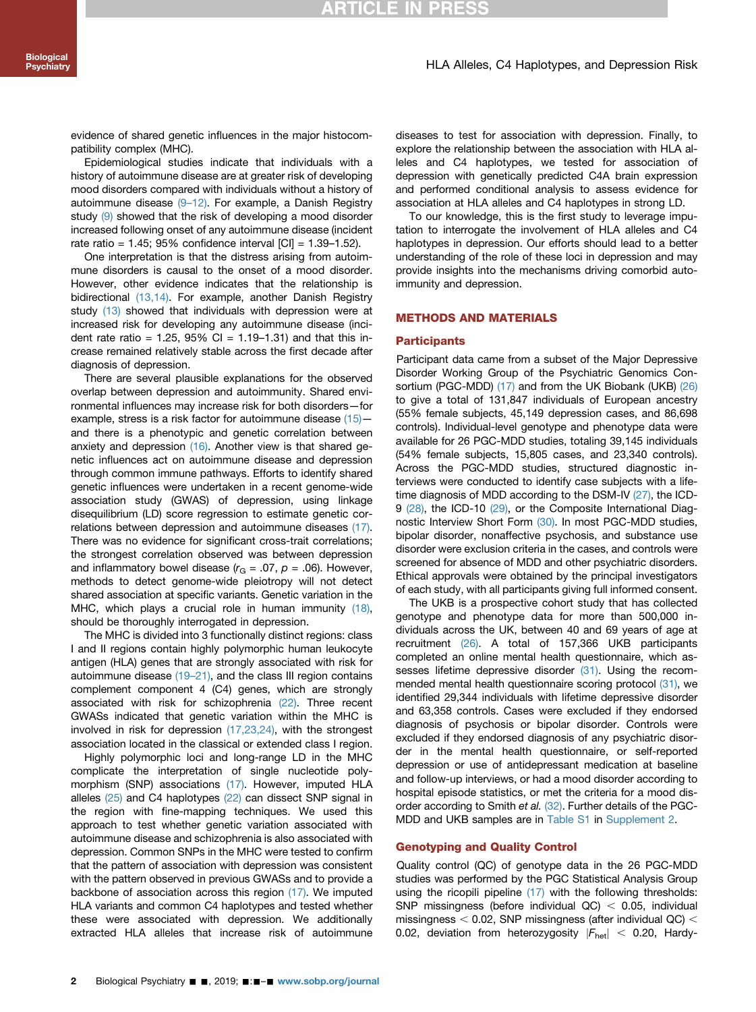### HLA Alleles, C4 Haplotypes, and Depression Risk

evidence of shared genetic influences in the major histocompatibility complex (MHC).

Epidemiological studies indicate that individuals with a history of autoimmune disease are at greater risk of developing mood disorders compared with individuals without a history of autoimmune disease (9–[12\)](#page-10-0). For example, a Danish Registry study [\(9\)](#page-10-0) showed that the risk of developing a mood disorder increased following onset of any autoimmune disease (incident rate ratio = 1.45;  $95\%$  confidence interval  $|CI| = 1.39-1.52$ ).

One interpretation is that the distress arising from autoimmune disorders is causal to the onset of a mood disorder. However, other evidence indicates that the relationship is bidirectional [\(13,14\).](#page-10-0) For example, another Danish Registry study [\(13\)](#page-10-0) showed that individuals with depression were at increased risk for developing any autoimmune disease (incident rate ratio = 1.25, 95% CI = 1.19-1.31) and that this increase remained relatively stable across the first decade after diagnosis of depression.

There are several plausible explanations for the observed overlap between depression and autoimmunity. Shared environmental influences may increase risk for both disorders—for example, stress is a risk factor for autoimmune disease  $(15)$ and there is a phenotypic and genetic correlation between anxiety and depression [\(16\).](#page-10-0) Another view is that shared genetic influences act on autoimmune disease and depression through common immune pathways. Efforts to identify shared genetic influences were undertaken in a recent genome-wide association study (GWAS) of depression, using linkage disequilibrium (LD) score regression to estimate genetic correlations between depression and autoimmune diseases [\(17\)](#page-11-0). There was no evidence for significant cross-trait correlations; the strongest correlation observed was between depression and inflammatory bowel disease  $(r<sub>G</sub> = .07, p = .06)$ . However, methods to detect genome-wide pleiotropy will not detect shared association at specific variants. Genetic variation in the MHC, which plays a crucial role in human immunity [\(18\)](#page-11-0), should be thoroughly interrogated in depression.

The MHC is divided into 3 functionally distinct regions: class I and II regions contain highly polymorphic human leukocyte antigen (HLA) genes that are strongly associated with risk for autoimmune disease (19–[21\),](#page-11-0) and the class III region contains complement component 4 (C4) genes, which are strongly associated with risk for schizophrenia [\(22\)](#page-11-0). Three recent GWASs indicated that genetic variation within the MHC is involved in risk for depression [\(17,23,24\)](#page-11-0), with the strongest association located in the classical or extended class I region.

Highly polymorphic loci and long-range LD in the MHC complicate the interpretation of single nucleotide polymorphism (SNP) associations [\(17\).](#page-11-0) However, imputed HLA alleles [\(25\)](#page-11-0) and C4 haplotypes [\(22\)](#page-11-0) can dissect SNP signal in the region with fine-mapping techniques. We used this approach to test whether genetic variation associated with autoimmune disease and schizophrenia is also associated with depression. Common SNPs in the MHC were tested to confirm that the pattern of association with depression was consistent with the pattern observed in previous GWASs and to provide a backbone of association across this region [\(17\).](#page-11-0) We imputed HLA variants and common C4 haplotypes and tested whether these were associated with depression. We additionally extracted HLA alleles that increase risk of autoimmune

diseases to test for association with depression. Finally, to explore the relationship between the association with HLA alleles and C4 haplotypes, we tested for association of depression with genetically predicted C4A brain expression and performed conditional analysis to assess evidence for association at HLA alleles and C4 haplotypes in strong LD.

To our knowledge, this is the first study to leverage imputation to interrogate the involvement of HLA alleles and C4 haplotypes in depression. Our efforts should lead to a better understanding of the role of these loci in depression and may provide insights into the mechanisms driving comorbid autoimmunity and depression.

### METHODS AND MATERIALS

#### **Participants**

Participant data came from a subset of the Major Depressive Disorder Working Group of the Psychiatric Genomics Consortium (PGC-MDD) [\(17\)](#page-11-0) and from the UK Biobank (UKB) [\(26\)](#page-11-0) to give a total of 131,847 individuals of European ancestry (55% female subjects, 45,149 depression cases, and 86,698 controls). Individual-level genotype and phenotype data were available for 26 PGC-MDD studies, totaling 39,145 individuals (54% female subjects, 15,805 cases, and 23,340 controls). Across the PGC-MDD studies, structured diagnostic interviews were conducted to identify case subjects with a lifetime diagnosis of MDD according to the DSM-IV [\(27\),](#page-11-0) the ICD-9 [\(28\)](#page-11-0), the ICD-10 [\(29\)](#page-11-0), or the Composite International Diagnostic Interview Short Form [\(30\)](#page-11-0). In most PGC-MDD studies, bipolar disorder, nonaffective psychosis, and substance use disorder were exclusion criteria in the cases, and controls were screened for absence of MDD and other psychiatric disorders. Ethical approvals were obtained by the principal investigators of each study, with all participants giving full informed consent.

The UKB is a prospective cohort study that has collected genotype and phenotype data for more than 500,000 individuals across the UK, between 40 and 69 years of age at recruitment [\(26\)](#page-11-0). A total of 157,366 UKB participants completed an online mental health questionnaire, which as-sesses lifetime depressive disorder [\(31\)](#page-11-0). Using the recommended mental health questionnaire scoring protocol [\(31\)](#page-11-0), we identified 29,344 individuals with lifetime depressive disorder and 63,358 controls. Cases were excluded if they endorsed diagnosis of psychosis or bipolar disorder. Controls were excluded if they endorsed diagnosis of any psychiatric disorder in the mental health questionnaire, or self-reported depression or use of antidepressant medication at baseline and follow-up interviews, or had a mood disorder according to hospital episode statistics, or met the criteria for a mood disorder according to Smith et al. [\(32\)](#page-11-0). Further details of the PGC-MDD and UKB samples are in Table S1 in Supplement 2.

### Genotyping and Quality Control

Quality control (QC) of genotype data in the 26 PGC-MDD studies was performed by the PGC Statistical Analysis Group using the ricopili pipeline [\(17\)](#page-11-0) with the following thresholds: SNP missingness (before individual  $QC$ ) < 0.05, individual missingness  $<$  0.02, SNP missingness (after individual QC)  $<$ 0.02, deviation from heterozygosity  $|F_{\text{het}}|$  < 0.20, Hardy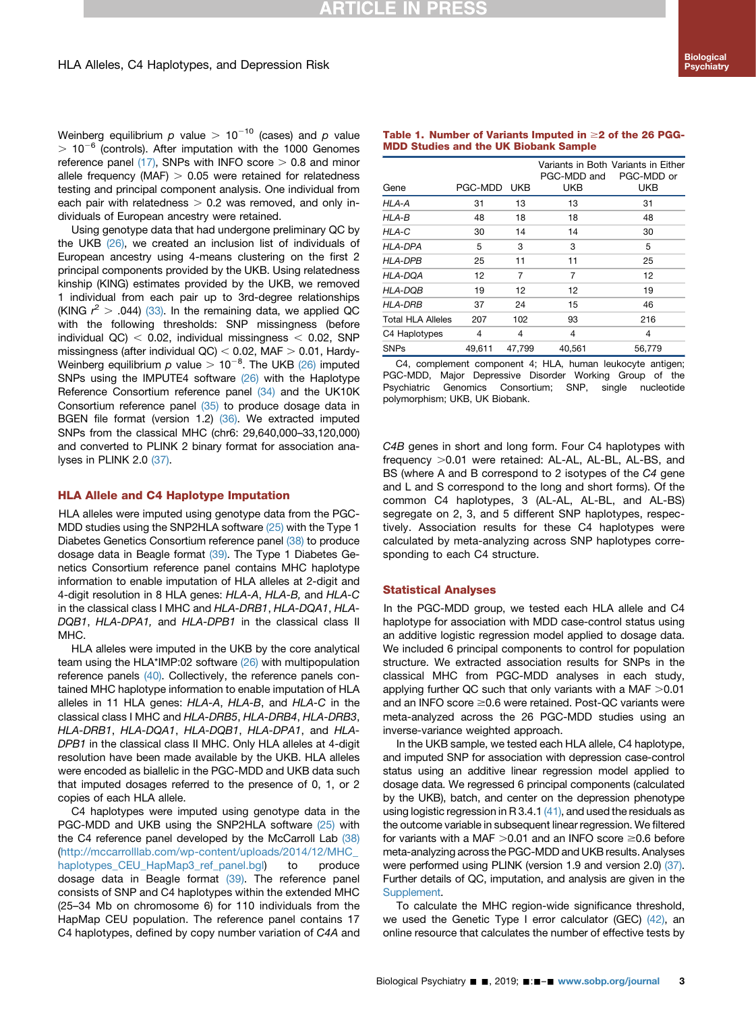<span id="page-2-0"></span>Weinberg equilibrium p value  $> 10^{-10}$  (cases) and p value  $> 10^{-6}$  (controls). After imputation with the 1000 Genomes reference panel  $(17)$ , SNPs with INFO score  $> 0.8$  and minor allele frequency (MAF)  $> 0.05$  were retained for relatedness testing and principal component analysis. One individual from each pair with relatedness  $> 0.2$  was removed, and only individuals of European ancestry were retained.

Using genotype data that had undergone preliminary QC by the UKB [\(26\)](#page-11-0), we created an inclusion list of individuals of European ancestry using 4-means clustering on the first 2 principal components provided by the UKB. Using relatedness kinship (KING) estimates provided by the UKB, we removed 1 individual from each pair up to 3rd-degree relationships (KING  $r^2 > .044$ ) [\(33\)](#page-11-0). In the remaining data, we applied QC with the following thresholds: SNP missingness (before individual  $QC$ ) < 0.02, individual missingness < 0.02, SNP missingness (after individual  $QC$ )  $<$  0.02, MAF  $>$  0.01, Hardy-Weinberg equilibrium  $p$  value  $> 10^{-8}$ . The UKB [\(26\)](#page-11-0) imputed SNPs using the IMPUTE4 software [\(26\)](#page-11-0) with the Haplotype Reference Consortium reference panel [\(34\)](#page-11-0) and the UK10K Consortium reference panel [\(35\)](#page-11-0) to produce dosage data in BGEN file format (version 1.2) [\(36\).](#page-11-0) We extracted imputed SNPs from the classical MHC (chr6: 29,640,000–33,120,000) and converted to PLINK 2 binary format for association analyses in PLINK 2.0 [\(37\).](#page-11-0)

#### HLA Allele and C4 Haplotype Imputation

HLA alleles were imputed using genotype data from the PGC-MDD studies using the SNP2HLA software [\(25\)](#page-11-0) with the Type 1 Diabetes Genetics Consortium reference panel [\(38\)](#page-11-0) to produce dosage data in Beagle format [\(39\).](#page-11-0) The Type 1 Diabetes Genetics Consortium reference panel contains MHC haplotype information to enable imputation of HLA alleles at 2-digit and 4-digit resolution in 8 HLA genes: HLA-A, HLA-B, and HLA-C in the classical class I MHC and HLA-DRB1, HLA-DQA1, HLA-DQB1, HLA-DPA1, and HLA-DPB1 in the classical class II MHC.

HLA alleles were imputed in the UKB by the core analytical team using the HLA\*IMP:02 software [\(26\)](#page-11-0) with multipopulation reference panels [\(40\)](#page-11-0). Collectively, the reference panels contained MHC haplotype information to enable imputation of HLA alleles in 11 HLA genes: HLA-A, HLA-B, and HLA-C in the classical class I MHC and HLA-DRB5, HLA-DRB4, HLA-DRB3, HLA-DRB1, HLA-DQA1, HLA-DQB1, HLA-DPA1, and HLA-DPB1 in the classical class II MHC. Only HLA alleles at 4-digit resolution have been made available by the UKB. HLA alleles were encoded as biallelic in the PGC-MDD and UKB data such that imputed dosages referred to the presence of 0, 1, or 2 copies of each HLA allele.

C4 haplotypes were imputed using genotype data in the PGC-MDD and UKB using the SNP2HLA software [\(25\)](#page-11-0) with the C4 reference panel developed by the McCarroll Lab [\(38\)](#page-11-0) ([http://mccarrolllab.com/wp-content/uploads/2014/12/MHC\\_](http://mccarrolllab.com/wp-content/uploads/2014/12/MHC_haplotypes_CEU_HapMap3_ref_panel.bgl) [haplotypes\\_CEU\\_HapMap3\\_ref\\_panel.bgl](http://mccarrolllab.com/wp-content/uploads/2014/12/MHC_haplotypes_CEU_HapMap3_ref_panel.bgl)) to produce dosage data in Beagle format [\(39\).](#page-11-0) The reference panel consists of SNP and C4 haplotypes within the extended MHC (25–34 Mb on chromosome 6) for 110 individuals from the HapMap CEU population. The reference panel contains 17 C4 haplotypes, defined by copy number variation of C4A and

| Gene                     | PGC-MDD UKB |     | PGC-MDD and<br><b>UKB</b> | Variants in Both Variants in Either<br>PGC-MDD or<br><b>UKB</b> |  |  |
|--------------------------|-------------|-----|---------------------------|-----------------------------------------------------------------|--|--|
| HLA-A                    | 31          | 13  | 13                        | 31                                                              |  |  |
| HLA-B                    | 48          | 18  | 18                        | 48                                                              |  |  |
| HLA-C                    | 30          | 14  | 14                        | 30                                                              |  |  |
| <b>HLA-DPA</b>           | 5           | 3   | 3                         | 5                                                               |  |  |
| <b>HLA-DPB</b>           | 25          | 11  | 11                        | 25                                                              |  |  |
| <b>HLA-DOA</b>           | 12          | 7   | 7                         | 12                                                              |  |  |
| <b>HLA-DOB</b>           | 19          | 12  | 12                        | 19                                                              |  |  |
| <b>HLA-DRB</b>           | 37          | 24  | 15                        | 46                                                              |  |  |
| <b>Total HLA Alleles</b> | 207         | 102 | 93                        | 216                                                             |  |  |
| C4 Haplotypes            | 4           | 4   | $\overline{4}$            | 4                                                               |  |  |

Table 1. Number of Variants Imputed in  $\geq$  2 of the 26 PGG-MDD Studies and the UK Biobank Sample

C4, complement component 4; HLA, human leukocyte antigen; PGC-MDD, Major Depressive Disorder Working Group of the Psychiatric Genomics Consortium; SNP, single nucleotide polymorphism; UKB, UK Biobank.

SNPs 49,611 47,799 40,561 56,779

C4B genes in short and long form. Four C4 haplotypes with frequency > 0.01 were retained: AL-AL, AL-BL, AL-BS, and BS (where A and B correspond to 2 isotypes of the C4 gene and L and S correspond to the long and short forms). Of the common C4 haplotypes, 3 (AL-AL, AL-BL, and AL-BS) segregate on 2, 3, and 5 different SNP haplotypes, respectively. Association results for these C4 haplotypes were calculated by meta-analyzing across SNP haplotypes corresponding to each C4 structure.

### Statistical Analyses

In the PGC-MDD group, we tested each HLA allele and C4 haplotype for association with MDD case-control status using an additive logistic regression model applied to dosage data. We included 6 principal components to control for population structure. We extracted association results for SNPs in the classical MHC from PGC-MDD analyses in each study, applying further QC such that only variants with a MAF  $>0.01$ and an INFO score  $\geq$ 0.6 were retained. Post-QC variants were meta-analyzed across the 26 PGC-MDD studies using an inverse-variance weighted approach.

In the UKB sample, we tested each HLA allele, C4 haplotype, and imputed SNP for association with depression case-control status using an additive linear regression model applied to dosage data. We regressed 6 principal components (calculated by the UKB), batch, and center on the depression phenotype using logistic regression in R 3.4.1  $(41)$ , and used the residuals as the outcome variable in subsequent linear regression. We filtered for variants with a MAF  $>$ 0.01 and an INFO score  $\geq$ 0.6 before meta-analyzing across the PGC-MDD and UKB results. Analyses were performed using PLINK (version 1.9 and version 2.0) [\(37\).](#page-11-0) Further details of QC, imputation, and analysis are given in the Supplement.

To calculate the MHC region-wide significance threshold, we used the Genetic Type I error calculator (GEC)  $(42)$ , an online resource that calculates the number of effective tests by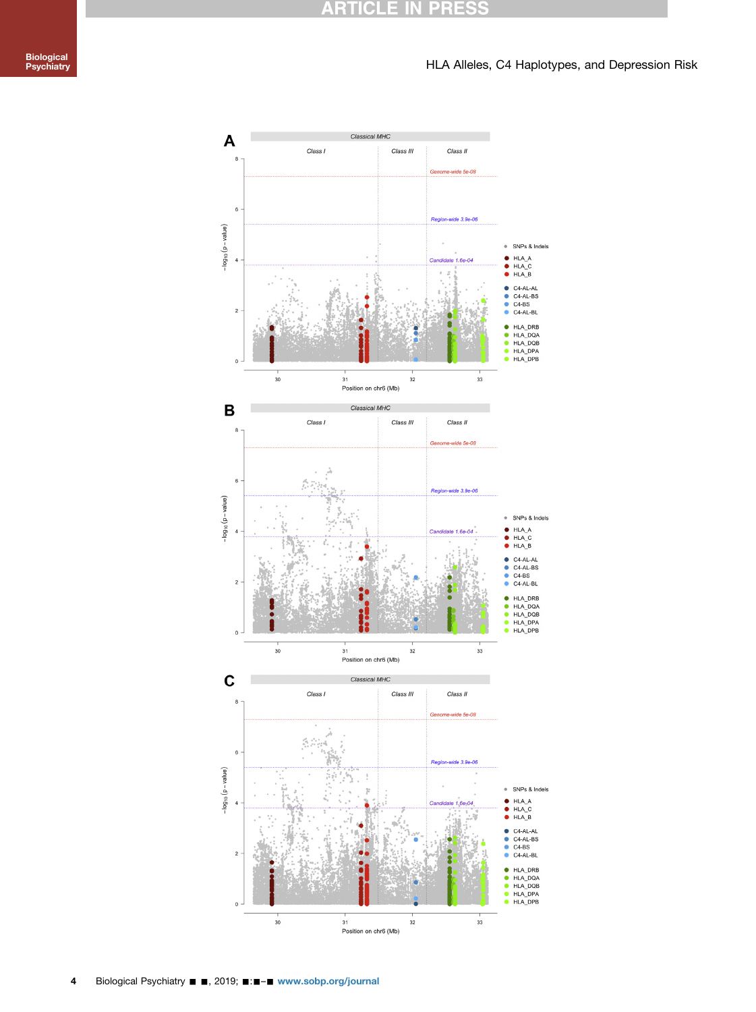<span id="page-3-0"></span>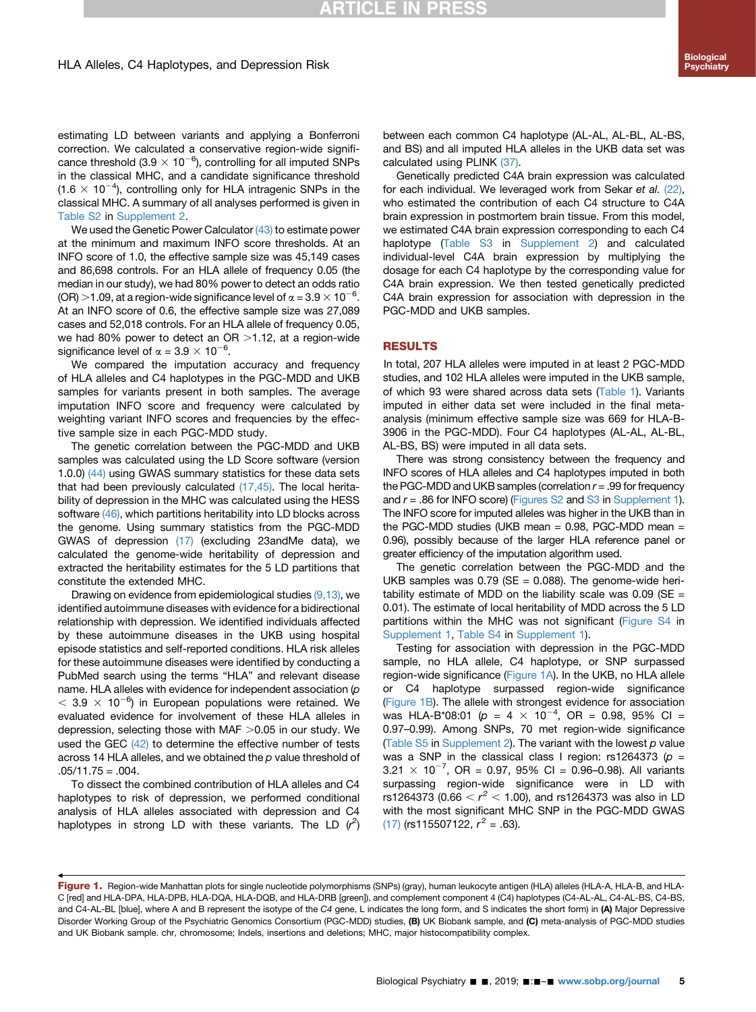estimating LD between variants and applying a Bonferroni correction. We calculated a conservative region-wide significance threshold (3.9  $\times$  10<sup>-6</sup>), controlling for all imputed SNPs in the classical MHC, and a candidate significance threshold (1.6  $\times$  10<sup>-4</sup>), controlling only for HLA intragenic SNPs in the classical MHC. A summary of all analyses performed is given in Table S2 in Supplement 2.

We used the Genetic Power Calculator [\(43\)](#page-11-0) to estimate power at the minimum and maximum INFO score thresholds. At an INFO score of 1.0, the effective sample size was 45,149 cases and 86,698 controls. For an HLA allele of frequency 0.05 (the median in our study), we had 80% power to detect an odds ratio (OR)  $>$  1.09, at a region-wide significance level of  $\alpha$  = 3.9  $\times$  10<sup>-6</sup>. At an INFO score of 0.6, the effective sample size was 27,089 cases and 52,018 controls. For an HLA allele of frequency 0.05, we had 80% power to detect an OR  $>1.12$ , at a region-wide significance level of  $\alpha = 3.9 \times 10^{-6}$ .

We compared the imputation accuracy and frequency of HLA alleles and C4 haplotypes in the PGC-MDD and UKB samples for variants present in both samples. The average imputation INFO score and frequency were calculated by weighting variant INFO scores and frequencies by the effective sample size in each PGC-MDD study.

The genetic correlation between the PGC-MDD and UKB samples was calculated using the LD Score software (version 1.0.0) [\(44\)](#page-11-0) using GWAS summary statistics for these data sets that had been previously calculated  $(17,45)$ . The local heritability of depression in the MHC was calculated using the HESS software [\(46\),](#page-11-0) which partitions heritability into LD blocks across the genome. Using summary statistics from the PGC-MDD GWAS of depression [\(17\)](#page-11-0) (excluding 23andMe data), we calculated the genome-wide heritability of depression and extracted the heritability estimates for the 5 LD partitions that constitute the extended MHC.

Drawing on evidence from epidemiological studies [\(9,13\)](#page-10-0), we identified autoimmune diseases with evidence for a bidirectional relationship with depression. We identified individuals affected by these autoimmune diseases in the UKB using hospital episode statistics and self-reported conditions. HLA risk alleles for these autoimmune diseases were identified by conducting a PubMed search using the terms "HLA" and relevant disease name. HLA alleles with evidence for independent association (p  $<$  3.9  $\times$  10<sup>-6</sup>) in European populations were retained. We evaluated evidence for involvement of these HLA alleles in depression, selecting those with MAF  $>0.05$  in our study. We used the GEC [\(42\)](#page-11-0) to determine the effective number of tests across 14 HLA alleles, and we obtained the  $p$  value threshold of  $.05/11.75 = .004$ .

To dissect the combined contribution of HLA alleles and C4 haplotypes to risk of depression, we performed conditional analysis of HLA alleles associated with depression and C4 haplotypes in strong LD with these variants. The LD  $(r^2)$ 

=

between each common C4 haplotype (AL-AL, AL-BL, AL-BS, and BS) and all imputed HLA alleles in the UKB data set was calculated using PLINK [\(37\)](#page-11-0).

Genetically predicted C4A brain expression was calculated for each individual. We leveraged work from Sekar et al. [\(22\),](#page-11-0) who estimated the contribution of each C4 structure to C4A brain expression in postmortem brain tissue. From this model, we estimated C4A brain expression corresponding to each C4 haplotype (Table S3 in Supplement 2) and calculated individual-level C4A brain expression by multiplying the dosage for each C4 haplotype by the corresponding value for C4A brain expression. We then tested genetically predicted C4A brain expression for association with depression in the PGC-MDD and UKB samples.

### RESULTS

In total, 207 HLA alleles were imputed in at least 2 PGC-MDD studies, and 102 HLA alleles were imputed in the UKB sample, of which 93 were shared across data sets ([Table 1](#page-2-0)). Variants imputed in either data set were included in the final metaanalysis (minimum effective sample size was 669 for HLA-B-3906 in the PGC-MDD). Four C4 haplotypes (AL-AL, AL-BL, AL-BS, BS) were imputed in all data sets.

There was strong consistency between the frequency and INFO scores of HLA alleles and C4 haplotypes imputed in both the PGC-MDD and UKB samples (correlation  $r = .99$  for frequency and  $r = .86$  for INFO score) (Figures S2 and S3 in Supplement 1). The INFO score for imputed alleles was higher in the UKB than in the PGC-MDD studies (UKB mean  $= 0.98$ , PGC-MDD mean  $=$ 0.96), possibly because of the larger HLA reference panel or greater efficiency of the imputation algorithm used.

The genetic correlation between the PGC-MDD and the UKB samples was  $0.79$  (SE = 0.088). The genome-wide heritability estimate of MDD on the liability scale was  $0.09$  (SE = 0.01). The estimate of local heritability of MDD across the 5 LD partitions within the MHC was not significant (Figure S4 in Supplement 1, Table S4 in Supplement 1).

Testing for association with depression in the PGC-MDD sample, no HLA allele, C4 haplotype, or SNP surpassed region-wide significance [\(Figure 1A](#page-3-0)). In the UKB, no HLA allele or C4 haplotype surpassed region-wide significance [\(Figure 1B](#page-3-0)). The allele with strongest evidence for association was HLA-B\*08:01 ( $p = 4 \times 10^{-4}$ , OR = 0.98, 95% CI = 0.97–0.99). Among SNPs, 70 met region-wide significance (Table S5 in Supplement 2). The variant with the lowest  $p$  value was a SNP in the classical class I region: rs1264373 ( $p =$  $3.21 \times 10^{-7}$ , OR = 0.97, 95% CI = 0.96-0.98). All variants surpassing region-wide significance were in LD with rs1264373 (0.66  $<$   $r^2$   $<$  1.00), and rs1264373 was also in LD with the most significant MHC SNP in the PGC-MDD GWAS [\(17\)](#page-11-0) (rs115507122,  $r^2$  = .63).

Figure 1. Region-wide Manhattan plots for single nucleotide polymorphisms (SNPs) (gray), human leukocyte antigen (HLA) alleles (HLA-A, HLA-B, and HLA-C [red] and HLA-DPA, HLA-DPB, HLA-DQA, HLA-DQB, and HLA-DRB [green]), and complement component 4 (C4) haplotypes (C4-AL-AL, C4-AL-BS, C4-BS, and C4-AL-BL [blue], where A and B represent the isotype of the C4 gene, L indicates the long form, and S indicates the short form) in (A) Major Depressive Disorder Working Group of the Psychiatric Genomics Consortium (PGC-MDD) studies, (B) UK Biobank sample, and (C) meta-analysis of PGC-MDD studies and UK Biobank sample. chr, chromosome; Indels, insertions and deletions; MHC, major histocompatibility complex.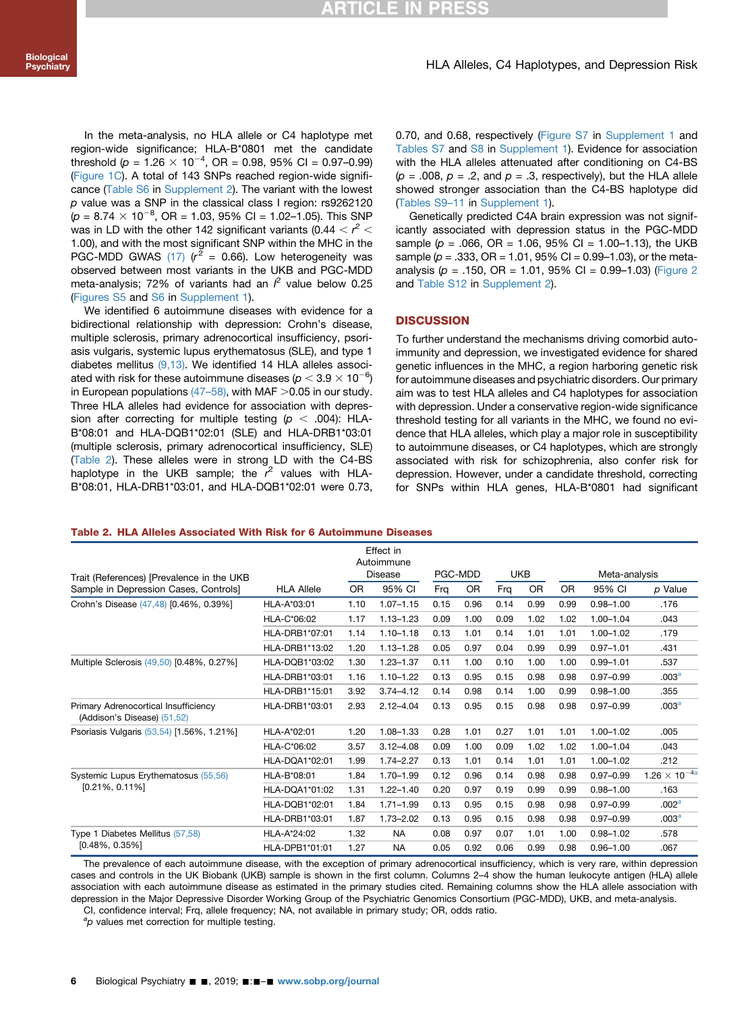In the meta-analysis, no HLA allele or C4 haplotype met region-wide significance; HLA-B\*0801 met the candidate threshold ( $p = 1.26 \times 10^{-4}$ , OR = 0.98, 95% CI = 0.97-0.99) ([Figure 1C](#page-3-0)). A total of 143 SNPs reached region-wide significance (Table S6 in Supplement 2). The variant with the lowest p value was a SNP in the classical class I region: rs9262120 ( $p = 8.74 \times 10^{-8}$ , OR = 1.03, 95% CI = 1.02–1.05). This SNP was in LD with the other 142 significant variants (0.44  $<$   $r^2$   $<$ 1.00), and with the most significant SNP within the MHC in the PGC-MDD GWAS [\(17\)](#page-11-0)  $(r^2 = 0.66)$ . Low heterogeneity was observed between most variants in the UKB and PGC-MDD meta-analysis; 72% of variants had an  $l^2$  value below 0.25 (Figures S5 and S6 in Supplement 1).

We identified 6 autoimmune diseases with evidence for a bidirectional relationship with depression: Crohn's disease, multiple sclerosis, primary adrenocortical insufficiency, psoriasis vulgaris, systemic lupus erythematosus (SLE), and type 1 diabetes mellitus  $(9,13)$ . We identified 14 HLA alleles associated with risk for these autoimmune diseases ( $\rho <$  3.9  $\times$  10 $^{-6}$ ) in European populations (47–[58\),](#page-11-0) with MAF  $>$ 0.05 in our study. Three HLA alleles had evidence for association with depression after correcting for multiple testing ( $p < .004$ ): HLA-B\*08:01 and HLA-DQB1\*02:01 (SLE) and HLA-DRB1\*03:01 (multiple sclerosis, primary adrenocortical insufficiency, SLE) (Table 2). These alleles were in strong LD with the C4-BS haplotype in the UKB sample; the  $r^2$  values with HLA-B\*08:01, HLA-DRB1\*03:01, and HLA-DQB1\*02:01 were 0.73,

0.70, and 0.68, respectively (Figure S7 in Supplement 1 and Tables S7 and S8 in Supplement 1). Evidence for association with the HLA alleles attenuated after conditioning on C4-BS  $(p = .008, p = .2,$  and  $p = .3$ , respectively), but the HLA allele showed stronger association than the C4-BS haplotype did (Tables S9–11 in Supplement 1).

Genetically predicted C4A brain expression was not significantly associated with depression status in the PGC-MDD sample ( $p = .066$ , OR = 1.06, 95% CI = 1.00-1.13), the UKB sample ( $p = .333$ , OR = 1.01, 95% CI = 0.99-1.03), or the metaanalysis ( $p = .150$ , OR = 1.01, 95% CI = 0.99-1.03) ([Figure 2](#page-6-0) and Table S12 in Supplement 2).

### **DISCUSSION**

To further understand the mechanisms driving comorbid autoimmunity and depression, we investigated evidence for shared genetic influences in the MHC, a region harboring genetic risk for autoimmune diseases and psychiatric disorders. Our primary aim was to test HLA alleles and C4 haplotypes for association with depression. Under a conservative region-wide significance threshold testing for all variants in the MHC, we found no evidence that HLA alleles, which play a major role in susceptibility to autoimmune diseases, or C4 haplotypes, which are strongly associated with risk for schizophrenia, also confer risk for depression. However, under a candidate threshold, correcting for SNPs within HLA genes, HLA-B\*0801 had significant

#### Table 2. HLA Alleles Associated With Risk for 6 Autoimmune Diseases

|                                                                     |                       | Effect in<br>Autoimmune |               |         |      |            |           |               |               |                        |
|---------------------------------------------------------------------|-----------------------|-------------------------|---------------|---------|------|------------|-----------|---------------|---------------|------------------------|
| Trait (References) [Prevalence in the UKB                           |                       | <b>Disease</b>          |               | PGC-MDD |      | <b>UKB</b> |           | Meta-analysis |               |                        |
| Sample in Depression Cases, Controls]                               | <b>HLA Allele</b>     | <b>OR</b>               | 95% CI        | Frq     | 0R   | Frq        | <b>OR</b> | OR.           | 95% CI        | p Value                |
| Crohn's Disease (47,48) [0.46%, 0.39%]                              | HLA-A*03:01           | 1.10                    | $1.07 - 1.15$ | 0.15    | 0.96 | 0.14       | 0.99      | 0.99          | $0.98 - 1.00$ | .176                   |
|                                                                     | HLA-C*06:02           | 1.17                    | $1.13 - 1.23$ | 0.09    | 1.00 | 0.09       | 1.02      | 1.02          | $1.00 - 1.04$ | .043                   |
|                                                                     | HLA-DRB1*07:01        | 1.14                    | $1.10 - 1.18$ | 0.13    | 1.01 | 0.14       | 1.01      | 1.01          | $1.00 - 1.02$ | .179                   |
|                                                                     | HLA-DRB1*13:02        | 1.20                    | $1.13 - 1.28$ | 0.05    | 0.97 | 0.04       | 0.99      | 0.99          | $0.97 - 1.01$ | .431                   |
| Multiple Sclerosis (49,50) [0.48%, 0.27%]                           | HLA-DQB1*03:02        | 1.30                    | 1.23-1.37     | 0.11    | 1.00 | 0.10       | 1.00      | 1.00          | $0.99 - 1.01$ | .537                   |
|                                                                     | HLA-DRB1*03:01        | 1.16                    | $1.10 - 1.22$ | 0.13    | 0.95 | 0.15       | 0.98      | 0.98          | $0.97 - 0.99$ | .003 <sup>a</sup>      |
|                                                                     | <b>HLA-DRB1*15:01</b> | 3.92                    | $3.74 - 4.12$ | 0.14    | 0.98 | 0.14       | 1.00      | 0.99          | $0.98 - 1.00$ | .355                   |
| Primary Adrenocortical Insufficiency<br>(Addison's Disease) (51,52) | HLA-DRB1*03:01        | 2.93                    | $2.12 - 4.04$ | 0.13    | 0.95 | 0.15       | 0.98      | 0.98          | $0.97 - 0.99$ | .003 <sup>a</sup>      |
| Psoriasis Vulgaris (53,54) [1.56%, 1.21%]                           | HLA-A*02:01           | 1.20                    | 1.08-1.33     | 0.28    | 1.01 | 0.27       | 1.01      | 1.01          | $1.00 - 1.02$ | .005                   |
|                                                                     | HLA-C*06:02           | 3.57                    | $3.12 - 4.08$ | 0.09    | 1.00 | 0.09       | 1.02      | 1.02          | $1.00 - 1.04$ | .043                   |
|                                                                     | HLA-DQA1*02:01        | 1.99                    | $1.74 - 2.27$ | 0.13    | 1.01 | 0.14       | 1.01      | 1.01          | $1.00 - 1.02$ | .212                   |
| Systemic Lupus Erythematosus (55,56)                                | HLA-B*08:01           | 1.84                    | 1.70-1.99     | 0.12    | 0.96 | 0.14       | 0.98      | 0.98          | $0.97 - 0.99$ | $1.26 \times 10^{-4a}$ |
| $[0.21\%, 0.11\%]$                                                  | HLA-DQA1*01:02        | 1.31                    | $1.22 - 1.40$ | 0.20    | 0.97 | 0.19       | 0.99      | 0.99          | $0.98 - 1.00$ | .163                   |
|                                                                     | HLA-DQB1*02:01        | 1.84                    | $1.71 - 1.99$ | 0.13    | 0.95 | 0.15       | 0.98      | 0.98          | $0.97 - 0.99$ | .002 <sup>a</sup>      |
|                                                                     | HLA-DRB1*03:01        | 1.87                    | $1.73 - 2.02$ | 0.13    | 0.95 | 0.15       | 0.98      | 0.98          | $0.97 - 0.99$ | .003 <sup>a</sup>      |
| Type 1 Diabetes Mellitus (57,58)                                    | HLA-A*24:02           | 1.32                    | <b>NA</b>     | 0.08    | 0.97 | 0.07       | 1.01      | 1.00          | $0.98 - 1.02$ | .578                   |
| $[0.48\%, 0.35\%]$                                                  | HLA-DPB1*01:01        | 1.27                    | <b>NA</b>     | 0.05    | 0.92 | 0.06       | 0.99      | 0.98          | $0.96 - 1.00$ | .067                   |

The prevalence of each autoimmune disease, with the exception of primary adrenocortical insufficiency, which is very rare, within depression cases and controls in the UK Biobank (UKB) sample is shown in the first column. Columns 2–4 show the human leukocyte antigen (HLA) allele association with each autoimmune disease as estimated in the primary studies cited. Remaining columns show the HLA allele association with depression in the Major Depressive Disorder Working Group of the Psychiatric Genomics Consortium (PGC-MDD), UKB, and meta-analysis. CI, confidence interval; Frq, allele frequency; NA, not available in primary study; OR, odds ratio. <sup>a</sup>

 ${}^a$ p values met correction for multiple testing.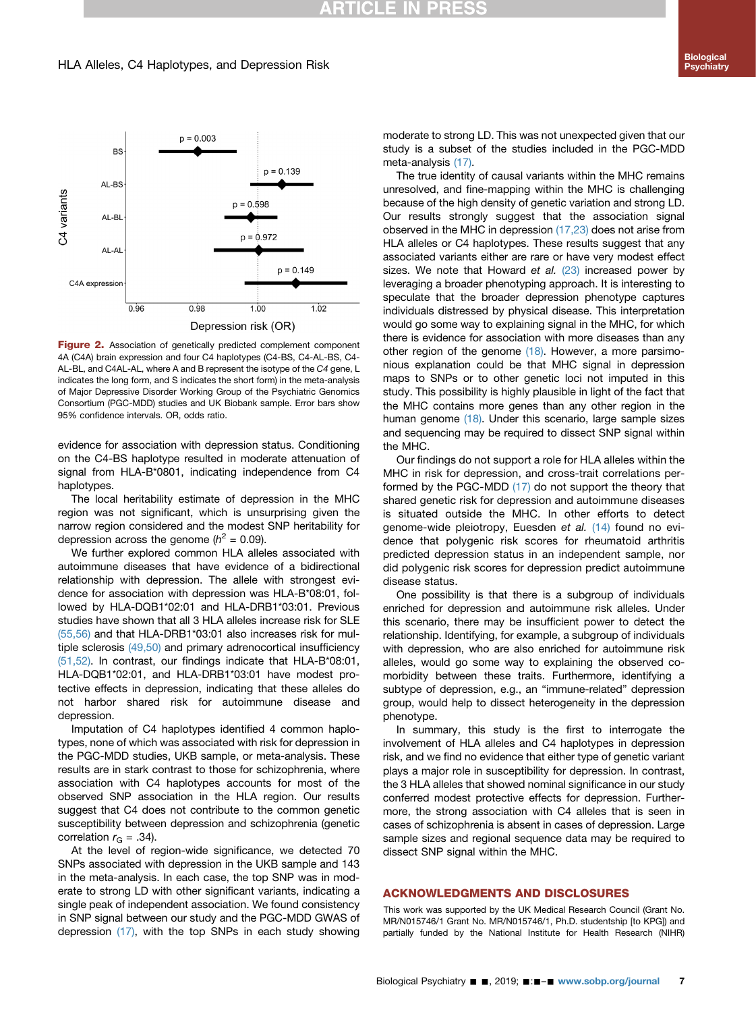<span id="page-6-0"></span>

Figure 2. Association of genetically predicted complement component 4A (C4A) brain expression and four C4 haplotypes (C4-BS, C4-AL-BS, C4- AL-BL, and C4AL-AL, where A and B represent the isotype of the C4 gene, L indicates the long form, and S indicates the short form) in the meta-analysis of Major Depressive Disorder Working Group of the Psychiatric Genomics Consortium (PGC-MDD) studies and UK Biobank sample. Error bars show 95% confidence intervals. OR, odds ratio.

evidence for association with depression status. Conditioning on the C4-BS haplotype resulted in moderate attenuation of signal from HLA-B\*0801, indicating independence from C4 haplotypes.

The local heritability estimate of depression in the MHC region was not significant, which is unsurprising given the narrow region considered and the modest SNP heritability for depression across the genome ( $h^2$  = 0.09).

We further explored common HLA alleles associated with autoimmune diseases that have evidence of a bidirectional relationship with depression. The allele with strongest evidence for association with depression was HLA-B\*08:01, followed by HLA-DQB1\*02:01 and HLA-DRB1\*03:01. Previous studies have shown that all 3 HLA alleles increase risk for SLE [\(55,56\)](#page-11-0) and that HLA-DRB1\*03:01 also increases risk for multiple sclerosis [\(49,50\)](#page-11-0) and primary adrenocortical insufficiency [\(51,52\)](#page-11-0). In contrast, our findings indicate that HLA-B\*08:01, HLA-DQB1\*02:01, and HLA-DRB1\*03:01 have modest protective effects in depression, indicating that these alleles do not harbor shared risk for autoimmune disease and depression.

Imputation of C4 haplotypes identified 4 common haplotypes, none of which was associated with risk for depression in the PGC-MDD studies, UKB sample, or meta-analysis. These results are in stark contrast to those for schizophrenia, where association with C4 haplotypes accounts for most of the observed SNP association in the HLA region. Our results suggest that C4 does not contribute to the common genetic susceptibility between depression and schizophrenia (genetic correlation  $r_{\text{G}} = .34$ ).

At the level of region-wide significance, we detected 70 SNPs associated with depression in the UKB sample and 143 in the meta-analysis. In each case, the top SNP was in moderate to strong LD with other significant variants, indicating a single peak of independent association. We found consistency in SNP signal between our study and the PGC-MDD GWAS of depression [\(17\)](#page-11-0), with the top SNPs in each study showing

moderate to strong LD. This was not unexpected given that our study is a subset of the studies included in the PGC-MDD meta-analysis [\(17\).](#page-11-0)

The true identity of causal variants within the MHC remains unresolved, and fine-mapping within the MHC is challenging because of the high density of genetic variation and strong LD. Our results strongly suggest that the association signal observed in the MHC in depression [\(17,23\)](#page-11-0) does not arise from HLA alleles or C4 haplotypes. These results suggest that any associated variants either are rare or have very modest effect sizes. We note that Howard et al.  $(23)$  increased power by leveraging a broader phenotyping approach. It is interesting to speculate that the broader depression phenotype captures individuals distressed by physical disease. This interpretation would go some way to explaining signal in the MHC, for which there is evidence for association with more diseases than any other region of the genome [\(18\)](#page-11-0). However, a more parsimonious explanation could be that MHC signal in depression maps to SNPs or to other genetic loci not imputed in this study. This possibility is highly plausible in light of the fact that the MHC contains more genes than any other region in the human genome [\(18\).](#page-11-0) Under this scenario, large sample sizes and sequencing may be required to dissect SNP signal within the MHC.

Our findings do not support a role for HLA alleles within the MHC in risk for depression, and cross-trait correlations performed by the PGC-MDD [\(17\)](#page-11-0) do not support the theory that shared genetic risk for depression and autoimmune diseases is situated outside the MHC. In other efforts to detect genome-wide pleiotropy, Euesden et al. [\(14\)](#page-10-0) found no evidence that polygenic risk scores for rheumatoid arthritis predicted depression status in an independent sample, nor did polygenic risk scores for depression predict autoimmune disease status.

One possibility is that there is a subgroup of individuals enriched for depression and autoimmune risk alleles. Under this scenario, there may be insufficient power to detect the relationship. Identifying, for example, a subgroup of individuals with depression, who are also enriched for autoimmune risk alleles, would go some way to explaining the observed comorbidity between these traits. Furthermore, identifying a subtype of depression, e.g., an "immune-related" depression group, would help to dissect heterogeneity in the depression phenotype.

In summary, this study is the first to interrogate the involvement of HLA alleles and C4 haplotypes in depression risk, and we find no evidence that either type of genetic variant plays a major role in susceptibility for depression. In contrast, the 3 HLA alleles that showed nominal significance in our study conferred modest protective effects for depression. Furthermore, the strong association with C4 alleles that is seen in cases of schizophrenia is absent in cases of depression. Large sample sizes and regional sequence data may be required to dissect SNP signal within the MHC.

### ACKNOWLEDGMENTS AND DISCLOSURES

This work was supported by the UK Medical Research Council (Grant No. MR/N015746/1 Grant No. MR/N015746/1, Ph.D. studentship [to KPG]) and partially funded by the National Institute for Health Research (NIHR)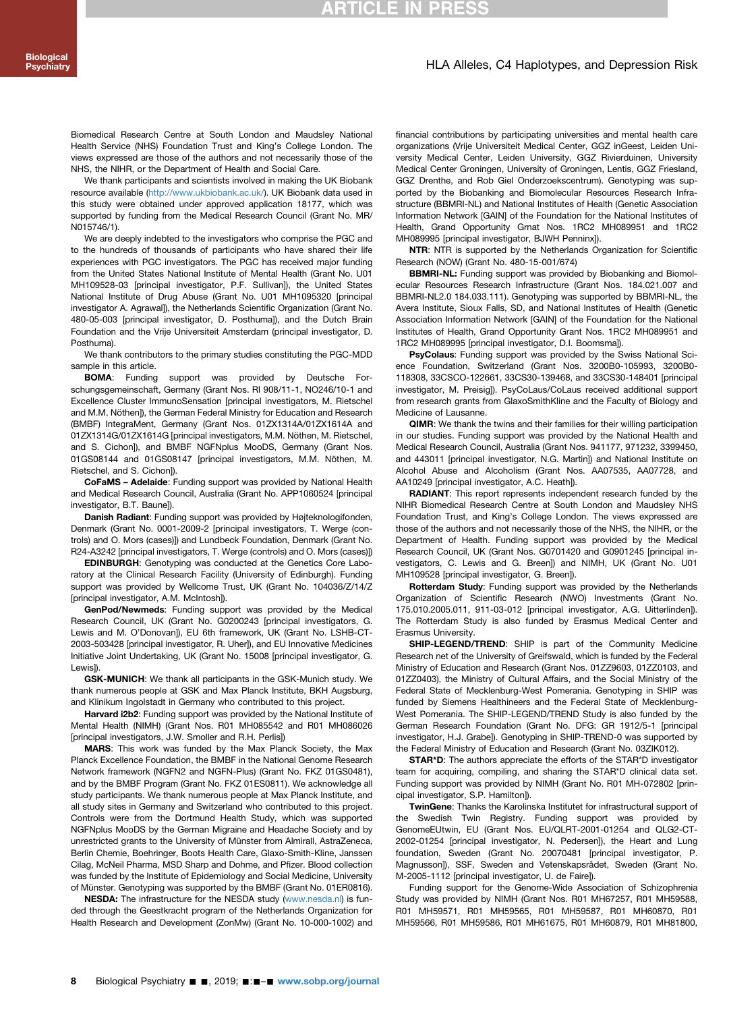#### HLA Alleles, C4 Haplotypes, and Depression Risk

Biomedical Research Centre at South London and Maudsley National Health Service (NHS) Foundation Trust and King's College London. The views expressed are those of the authors and not necessarily those of the NHS, the NIHR, or the Department of Health and Social Care.

We thank participants and scientists involved in making the UK Biobank resource available (<http://www.ukbiobank.ac.uk/>). UK Biobank data used in this study were obtained under approved application 18177, which was supported by funding from the Medical Research Council (Grant No. MR/ N015746/1).

We are deeply indebted to the investigators who comprise the PGC and to the hundreds of thousands of participants who have shared their life experiences with PGC investigators. The PGC has received major funding from the United States National Institute of Mental Health (Grant No. U01 MH109528-03 [principal investigator, P.F. Sullivan]), the United States National Institute of Drug Abuse (Grant No. U01 MH1095320 [principal investigator A. Agrawal]), the Netherlands Scientific Organization (Grant No. 480-05-003 [principal investigator, D. Posthuma]), and the Dutch Brain Foundation and the Vrije Universiteit Amsterdam (principal investigator, D. Posthuma).

We thank contributors to the primary studies constituting the PGC-MDD sample in this article.

BOMA: Funding support was provided by Deutsche Forschungsgemeinschaft, Germany (Grant Nos. RI 908/11-1, NO246/10-1 and Excellence Cluster ImmunoSensation [principal investigators, M. Rietschel and M.M. Nöthen]), the German Federal Ministry for Education and Research (BMBF) IntegraMent, Germany (Grant Nos. 01ZX1314A/01ZX1614A and 01ZX1314G/01ZX1614G [principal investigators, M.M. Nöthen, M. Rietschel, and S. Cichon]), and BMBF NGFNplus MooDS, Germany (Grant Nos. 01GS08144 and 01GS08147 [principal investigators, M.M. Nöthen, M. Rietschel, and S. Cichon]).

CoFaMS – Adelaide: Funding support was provided by National Health and Medical Research Council, Australia (Grant No. APP1060524 [principal investigator, B.T. Baune]).

Danish Radiant: Funding support was provided by Højteknologifonden, Denmark (Grant No. 0001-2009-2 [principal investigators, T. Werge (controls) and O. Mors (cases)]) and Lundbeck Foundation, Denmark (Grant No. R24-A3242 [principal investigators, T. Werge (controls) and O. Mors (cases)])

EDINBURGH: Genotyping was conducted at the Genetics Core Laboratory at the Clinical Research Facility (University of Edinburgh). Funding support was provided by Wellcome Trust, UK (Grant No. 104036/Z/14/Z [principal investigator, A.M. McIntosh]).

GenPod/Newmeds: Funding support was provided by the Medical Research Council, UK (Grant No. G0200243 [principal investigators, G. Lewis and M. O'Donovan]), EU 6th framework, UK (Grant No. LSHB-CT-2003-503428 [principal investigator, R. Uher]), and EU Innovative Medicines Initiative Joint Undertaking, UK (Grant No. 15008 [principal investigator, G. Lewis]).

GSK-MUNICH: We thank all participants in the GSK-Munich study. We thank numerous people at GSK and Max Planck Institute, BKH Augsburg, and Klinikum Ingolstadt in Germany who contributed to this project.

Harvard i2b2: Funding support was provided by the National Institute of Mental Health (NIMH) (Grant Nos. R01 MH085542 and R01 MH086026 [principal investigators, J.W. Smoller and R.H. Perlis])

MARS: This work was funded by the Max Planck Society, the Max Planck Excellence Foundation, the BMBF in the National Genome Research Network framework (NGFN2 and NGFN-Plus) (Grant No. FKZ 01GS0481), and by the BMBF Program (Grant No. FKZ 01ES0811). We acknowledge all study participants. We thank numerous people at Max Planck Institute, and all study sites in Germany and Switzerland who contributed to this project. Controls were from the Dortmund Health Study, which was supported NGFNplus MooDS by the German Migraine and Headache Society and by unrestricted grants to the University of Münster from Almirall, AstraZeneca, Berlin Chemie, Boehringer, Boots Health Care, Glaxo-Smith-Kline, Janssen Cilag, McNeil Pharma, MSD Sharp and Dohme, and Pfizer. Blood collection was funded by the Institute of Epidemiology and Social Medicine, University of Münster. Genotyping was supported by the BMBF (Grant No. 01ER0816).

NESDA: The infrastructure for the NESDA study ([www.nesda.nl](http://www.nesda.nl)) is funded through the Geestkracht program of the Netherlands Organization for Health Research and Development (ZonMw) (Grant No. 10-000-1002) and

financial contributions by participating universities and mental health care organizations (Vrije Universiteit Medical Center, GGZ inGeest, Leiden University Medical Center, Leiden University, GGZ Rivierduinen, University Medical Center Groningen, University of Groningen, Lentis, GGZ Friesland, GGZ Drenthe, and Rob Giel Onderzoekscentrum). Genotyping was supported by the Biobanking and Biomolecular Resources Research Infrastructure (BBMRI-NL) and National Institutes of Health (Genetic Association Information Network [GAIN] of the Foundation for the National Institutes of Health, Grand Opportunity Grnat Nos. 1RC2 MH089951 and 1RC2 MH089995 [principal investigator, BJWH Penninx]).

**NTR:** NTR is supported by the Netherlands Organization for Scientific Research (NOW) (Grant No. 480-15-001/674)

BBMRI-NL: Funding support was provided by Biobanking and Biomolecular Resources Research Infrastructure (Grant Nos. 184.021.007 and BBMRI-NL2.0 184.033.111). Genotyping was supported by BBMRI-NL, the Avera Institute, Sioux Falls, SD, and National Institutes of Health (Genetic Association Information Network [GAIN] of the Foundation for the National Institutes of Health, Grand Opportunity Grant Nos. 1RC2 MH089951 and 1RC2 MH089995 [principal investigator, D.I. Boomsma]).

PsyColaus: Funding support was provided by the Swiss National Science Foundation, Switzerland (Grant Nos. 3200B0-105993, 3200B0- 118308, 33CSCO-122661, 33CS30-139468, and 33CS30-148401 [principal investigator, M. Preisig]). PsyCoLaus/CoLaus received additional support from research grants from GlaxoSmithKline and the Faculty of Biology and Medicine of Lausanne.

QIMR: We thank the twins and their families for their willing participation in our studies. Funding support was provided by the National Health and Medical Research Council, Australia (Grant Nos. 941177, 971232, 3399450, and 443011 [principal investigator, N.G. Martin]) and National Institute on Alcohol Abuse and Alcoholism (Grant Nos. AA07535, AA07728, and AA10249 [principal investigator, A.C. Heath]).

RADIANT: This report represents independent research funded by the NIHR Biomedical Research Centre at South London and Maudsley NHS Foundation Trust, and King's College London. The views expressed are those of the authors and not necessarily those of the NHS, the NIHR, or the Department of Health. Funding support was provided by the Medical Research Council, UK (Grant Nos. G0701420 and G0901245 [principal investigators, C. Lewis and G. Breen]) and NIMH, UK (Grant No. U01 MH109528 [principal investigator, G. Breen]).

Rotterdam Study: Funding support was provided by the Netherlands Organization of Scientific Research (NWO) Investments (Grant No. 175.010.2005.011, 911-03-012 [principal investigator, A.G. Uitterlinden]). The Rotterdam Study is also funded by Erasmus Medical Center and Erasmus University.

SHIP-LEGEND/TREND: SHIP is part of the Community Medicine Research net of the University of Greifswald, which is funded by the Federal Ministry of Education and Research (Grant Nos. 01ZZ9603, 01ZZ0103, and 01ZZ0403), the Ministry of Cultural Affairs, and the Social Ministry of the Federal State of Mecklenburg-West Pomerania. Genotyping in SHIP was funded by Siemens Healthineers and the Federal State of Mecklenburg-West Pomerania. The SHIP-LEGEND/TREND Study is also funded by the German Research Foundation (Grant No. DFG: GR 1912/5-1 [principal investigator, H.J. Grabe]). Genotyping in SHIP-TREND-0 was supported by the Federal Ministry of Education and Research (Grant No. 03ZIK012).

STAR\*D: The authors appreciate the efforts of the STAR\*D investigator team for acquiring, compiling, and sharing the STAR\*D clinical data set. Funding support was provided by NIMH (Grant No. R01 MH-072802 [principal investigator, S.P. Hamilton]).

TwinGene: Thanks the Karolinska Institutet for infrastructural support of the Swedish Twin Registry. Funding support was provided by GenomeEUtwin, EU (Grant Nos. EU/QLRT-2001-01254 and QLG2-CT-2002-01254 [principal investigator, N. Pedersen]), the Heart and Lung foundation, Sweden (Grant No. 20070481 [principal investigator, P. Magnusson]), SSF, Sweden and Vetenskapsrådet, Sweden (Grant No. M-2005-1112 [principal investigator, U. de Faire]).

Funding support for the Genome-Wide Association of Schizophrenia Study was provided by NIMH (Grant Nos. R01 MH67257, R01 MH59588, R01 MH59571, R01 MH59565, R01 MH59587, R01 MH60870, R01 MH59566, R01 MH59586, R01 MH61675, R01 MH60879, R01 MH81800,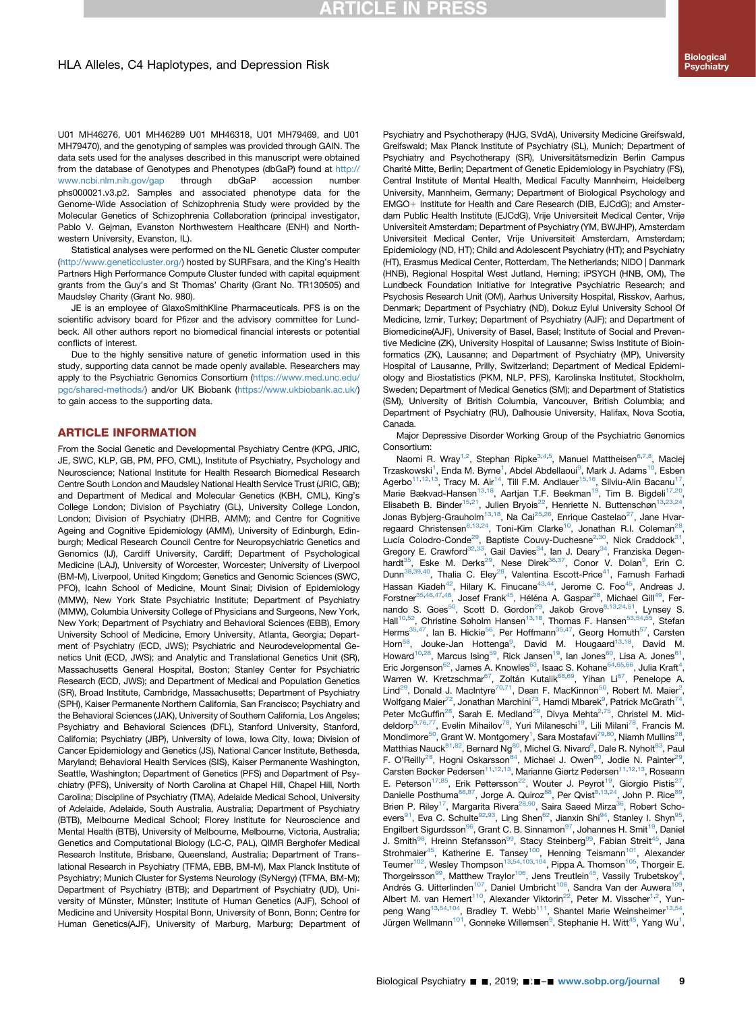### HLA Alleles, C4 Haplotypes, and Depression Risk

U01 MH46276, U01 MH46289 U01 MH46318, U01 MH79469, and U01 MH79470), and the genotyping of samples was provided through GAIN. The data sets used for the analyses described in this manuscript were obtained from the database of Genotypes and Phenotypes (dbGaP) found at [http://](http://www.ncbi.nlm.nih.gov/gap) [www.ncbi.nlm.nih.gov/gap](http://www.ncbi.nlm.nih.gov/gap) through dbGaP accession number phs000021.v3.p2. Samples and associated phenotype data for the Genome-Wide Association of Schizophrenia Study were provided by the Molecular Genetics of Schizophrenia Collaboration (principal investigator, Pablo V. Gejman, Evanston Northwestern Healthcare (ENH) and Northwestern University, Evanston, IL).

Statistical analyses were performed on the NL Genetic Cluster computer ([http://www.geneticcluster.org/\)](http://www.geneticcluster.org/) hosted by SURFsara, and the King's Health Partners High Performance Compute Cluster funded with capital equipment grants from the Guy's and St Thomas' Charity (Grant No. TR130505) and Maudsley Charity (Grant No. 980).

JE is an employee of GlaxoSmithKline Pharmaceuticals. PFS is on the scientific advisory board for Pfizer and the advisory committee for Lundbeck. All other authors report no biomedical financial interests or potential conflicts of interest.

Due to the highly sensitive nature of genetic information used in this study, supporting data cannot be made openly available. Researchers may apply to the Psychiatric Genomics Consortium ([https://www.med.unc.edu/](https://www.med.unc.edu/pgc/shared-methods/) [pgc/shared-methods/](https://www.med.unc.edu/pgc/shared-methods/)) and/or UK Biobank ([https://www.ukbiobank.ac.uk/\)](https://www.ukbiobank.ac.uk/) to gain access to the supporting data.

### ARTICLE INFORMATION

From the Social Genetic and Developmental Psychiatry Centre (KPG, JRIC, JE, SWC, KLP, GB, PM, PFO, CML), Institute of Psychiatry, Psychology and Neuroscience; National Institute for Health Research Biomedical Research Centre South London and Maudsley National Health Service Trust (JRIC, GB); and Department of Medical and Molecular Genetics (KBH, CML), King's College London; Division of Psychiatry (GL), University College London, London; Division of Psychiatry (DHRB, AMM); and Centre for Cognitive Ageing and Cognitive Epidemiology (AMM), University of Edinburgh, Edinburgh; Medical Research Council Centre for Neuropsychiatric Genetics and Genomics (IJ), Cardiff University, Cardiff; Department of Psychological Medicine (LAJ), University of Worcester, Worcester; University of Liverpool (BM-M), Liverpool, United Kingdom; Genetics and Genomic Sciences (SWC, PFO), Icahn School of Medicine, Mount Sinai; Division of Epidemiology (MMW), New York State Psychiatric Institute; Department of Psychiatry (MMW), Columbia University College of Physicians and Surgeons, New York, New York; Department of Psychiatry and Behavioral Sciences (EBB), Emory University School of Medicine, Emory University, Atlanta, Georgia; Department of Psychiatry (ECD, JWS); Psychiatric and Neurodevelopmental Genetics Unit (ECD, JWS); and Analytic and Translational Genetics Unit (SR), Massachusetts General Hospital, Boston; Stanley Center for Psychiatric Research (ECD, JWS); and Department of Medical and Population Genetics (SR), Broad Institute, Cambridge, Massachusetts; Department of Psychiatry (SPH), Kaiser Permanente Northern California, San Francisco; Psychiatry and the Behavioral Sciences (JAK), University of Southern California, Los Angeles; Psychiatry and Behavioral Sciences (DFL), Stanford University, Stanford, California; Psychiatry (JBP), University of Iowa, Iowa City, Iowa; Division of Cancer Epidemiology and Genetics (JS), National Cancer Institute, Bethesda, Maryland; Behavioral Health Services (SIS), Kaiser Permanente Washington, Seattle, Washington; Department of Genetics (PFS) and Department of Psychiatry (PFS), University of North Carolina at Chapel Hill, Chapel Hill, North Carolina; Discipline of Psychiatry (TMA), Adelaide Medical School, University of Adelaide, Adelaide, South Australia, Australia; Department of Psychiatry (BTB), Melbourne Medical School; Florey Institute for Neuroscience and Mental Health (BTB), University of Melbourne, Melbourne, Victoria, Australia; Genetics and Computational Biology (LC-C, PAL), QIMR Berghofer Medical Research Institute, Brisbane, Queensland, Australia; Department of Translational Research in Psychiatry (TFMA, EBB, BM-M), Max Planck Institute of Psychiatry; Munich Cluster for Systems Neurology (SyNergy) (TFMA, BM-M); Department of Psychiatry (BTB); and Department of Psychiatry (UD), University of Münster, Münster; Institute of Human Genetics (AJF), School of Medicine and University Hospital Bonn, University of Bonn, Bonn; Centre for Human Genetics(AJF), University of Marburg, Marburg; Department of

Psychiatry and Psychotherapy (HJG, SVdA), University Medicine Greifswald, Greifswald; Max Planck Institute of Psychiatry (SL), Munich; Department of Psychiatry and Psychotherapy (SR), Universitätsmedizin Berlin Campus Charité Mitte, Berlin; Department of Genetic Epidemiology in Psychiatry (FS), Central Institute of Mental Health, Medical Faculty Mannheim, Heidelberg University, Mannheim, Germany; Department of Biological Psychology and EMGO+ Institute for Health and Care Research (DIB, EJCdG); and Amsterdam Public Health Institute (EJCdG), Vrije Universiteit Medical Center, Vrije Universiteit Amsterdam; Department of Psychiatry (YM, BWJHP), Amsterdam Universiteit Medical Center, Vrije Universiteit Amsterdam, Amsterdam; Epidemiology (ND, HT); Child and Adolescent Psychiatry (HT); and Psychiatry (HT), Erasmus Medical Center, Rotterdam, The Netherlands; NIDO | Danmark (HNB), Regional Hospital West Jutland, Herning; iPSYCH (HNB, OM), The Lundbeck Foundation Initiative for Integrative Psychiatric Research; and Psychosis Research Unit (OM), Aarhus University Hospital, Risskov, Aarhus, Denmark; Department of Psychiatry (ND), Dokuz Eylul University School Of Medicine, Izmir, Turkey; Department of Psychiatry (AJF); and Department of Biomedicine(AJF), University of Basel, Basel; Institute of Social and Preventive Medicine (ZK), University Hospital of Lausanne; Swiss Institute of Bioinformatics (ZK), Lausanne; and Department of Psychiatry (MP), University Hospital of Lausanne, Prilly, Switzerland; Department of Medical Epidemiology and Biostatistics (PKM, NLP, PFS), Karolinska Institutet, Stockholm, Sweden; Department of Medical Genetics (SM); and Department of Statistics (SM), University of British Columbia, Vancouver, British Columbia; and Department of Psychiatry (RU), Dalhousie University, Halifax, Nova Scotia, Canada.

Major Depressive Disorder Working Group of the Psychiatric Genomics Consortium:

Naomi R. Wray<sup>1,2</sup>, Stephan Ripke<sup>3,4,5</sup>, Manuel Mattheisen<sup>6,7,8</sup>, Maciej Trzaskowski<sup>1</sup>, Enda M. Byrne<sup>1</sup>, Abdel Abdellaoui<sup>9</sup>, Mark J. Adams<sup>10</sup>, Esben Agerbo<sup>11,12,13</sup>, Tracy M. Air<sup>14</sup>, Till F.M. Andlauer<sup>15,16</sup>, Silviu-Alin Bacanu<sup>17</sup>, Marie Bækvad-Hansen<sup>13,18</sup>, Aartjan T.F. Beekman<sup>19</sup>, Tim B. Bigdeli<sup>17,20</sup> Elisabeth B. Binder<sup>15,21</sup>, Julien Bryois<sup>22</sup>, Henriette N. Buttenschøn<sup>13,23,24</sup>, Jonas Bybjerg-Grauholm<sup>13,18</sup>, Na Cai<sup>25,26</sup>, Enrique Castelao<sup>27</sup>, Jane Hvarregaard Christensen<sup>8,13,24</sup>, Toni-Kim Clarke<sup>10</sup>, Jonathan R.I. Coleman<sup>28</sup> Lucía Colodro-Conde<sup>29</sup>, Baptiste Couvy-Duchesne<sup>2,30</sup>, Nick Craddock<sup>31</sup>, Gregory E. Crawford<sup>32,33</sup>, Gail Davies<sup>34</sup>, Ian J. Deary<sup>34</sup>, Franziska Degenhardt<sup>35</sup>, Eske M. Derks<sup>29</sup>, Nese Direk<sup>36,37</sup>, Conor V. Dolan<sup>9</sup>, Erin C. Dunn<sup>38,39,40</sup>, Thalia C. Eley<sup>28</sup>, Valentina Escott-Price<sup>41</sup>, Farnush Farhadi Hassan Kiadeh<sup>42</sup>, Hilary K. Finucane<sup>43,44</sup>, Jerome C. Foo<sup>45</sup>, Andreas J. Forstner<sup>35,46,47,48</sup>, Josef Frank<sup>45</sup>, Héléna A. Gaspar<sup>28</sup>, Michael Gill<sup>49</sup>, Fernando S. Goes<sup>50</sup>, Scott D. Gordon<sup>29</sup>, Jakob Grove<sup>8,13,24,51</sup>, Lynsey S.<br>Hall<sup>10,52</sup>, Christine Søholm Hansen<sup>13,18</sup>, Thomas E. Hansen<sup>53,54,55</sup>, Stefan Hall<sup>10,52</sup>, Christine Søholm Hansen<sup>13,18</sup>, Thomas F. Hansen<sup>53,54,5</sup> Herms $^{35,47}$ , Ian B. Hickie<sup>56</sup>, Per Hoffmann<sup>35,47</sup>, Georg Homuth<sup>57</sup>, Carsten Horn<sup>58</sup>, Jouke-Jan Hottenga<sup>9</sup>, David M. Hougaard<sup>13,18</sup>, David M. Howard<sup>10,28</sup>, Marcus Ising<sup>59</sup>, Rick Jansen<sup>19</sup>, Ian Jones<sup>60</sup>, Lisa A. Jones<sup>61</sup>, Eric Jorgenson<sup>62</sup>, James A. Knowles<sup>63</sup>, Isaac S. Kohane<sup>64,65,66</sup>, Julia Kraft<sup>4</sup>, Warren W. Kretzschmar<sup>67</sup>, Zoltán Kutalik<sup>68,69</sup>, Yihan Li<sup>67</sup>, Penelope A. Lind<sup>29</sup>, Donald J. MacIntyre<sup>70,71</sup>, Dean F. MacKinnon<sup>50</sup>, Robert M. Maier<sup>2</sup>, Wolfgang Maier $^{72}$ , Jonathan Marchini $^{73}$ , Hamdi Mbarek $^{9}$ , Patrick McGrath $^{74},$ Peter McGuffin<sup>28</sup>, Sarah E. Medland<sup>29</sup>, Divya Mehta<sup>2,75</sup>, Christel M. Middeldorp<sup>9,76,77</sup>, Evelin Mihailov<sup>78</sup>, Yuri Milaneschi<sup>19</sup>, Lili Milani<sup>78</sup>, Francis M. Mondimore<sup>50</sup>, Grant W. Montgomery<sup>1</sup>, Sara Mostafavi<sup>79,80</sup>, Niamh Mullins<sup>28</sup>, Matthias Nauck $^{81,82}$ , Bernard Ng $^{80}$ , Michel G. Nivard $^9$ , Dale R. Nyholt $^{83}$ , Paul F. O'Reilly<sup>28</sup>, Hogni Oskarsson<sup>84</sup>, Michael J. Owen<sup>60</sup>, Jodie N. Painter<sup>29</sup>, Carsten Bøcker Pedersen<sup>11,12,13</sup>, Marianne Giørtz Pedersen<sup>11,12,13</sup>, Roseann E. Peterson<sup>17,85</sup>, Erik Pettersson<sup>22</sup>, Wouter J. Peyrot<sup>19</sup>, Giorgio Pistis<sup>27</sup>, Danielle Posthuma<sup>86,87</sup>, Jorge A. Quiroz<sup>88</sup>, Per Qvist<sup>8,13,24</sup>, John P. Rice<sup>89</sup>, Brien P. Riley<sup>17</sup>, Margarita Rivera<sup>28,90</sup>, Saira Saeed Mirza<sup>36</sup>, Robert Schoevers<sup>91</sup>, Eva C. Schulte<sup>92,93</sup>, Ling Shen<sup>62</sup>, Jianxin Shi<sup>94</sup>, Stanley I. Shyn<sup>95</sup>, Engilbert Sigurdsson<sup>96</sup>, Grant C. B. Sinnamon<sup>97</sup>, Johannes H. Smit<sup>19</sup>, Daniel J. Smith<sup>98</sup>, Hreinn Stefansson<sup>99</sup>, Stacy Steinberg<sup>99</sup>, Fabian Streit<sup>45</sup>, Jana Strohmaier<sup>45</sup>, Katherine E. Tansey<sup>100</sup>, Henning Teismann<sup>101</sup>, Alexander Teumer<sup>102</sup>, Wesley Thompson<sup>13,54,103,104</sup>, Pippa A. Thomson<sup>105</sup>, Thorgeir E. Thorgeirsson<sup>99</sup>, Matthew Traylor<sup>106</sup>, Jens Treutlein<sup>45</sup>, Vassily Trubetskoy<sup>4</sup>, Andrés G. Uitterlinden<sup>107</sup>, Daniel Umbricht<sup>108</sup>, Sandra Van der Auwera<sup>109</sup> Albert M. van Hemert<sup>110</sup>, Alexander Viktorin<sup>22</sup>, Peter M. Visscher<sup>1,2</sup>, Yunpeng Wang<sup>13,54,104</sup>, Bradley T. Webb<sup>111</sup>, Shantel Marie Weinsheimer<sup>13,54</sup> Jürgen Wellmann<sup>101</sup>, Gonneke Willemsen<sup>9</sup>, Stephanie H. Witt<sup>45</sup>, Yang Wu<sup>1</sup>,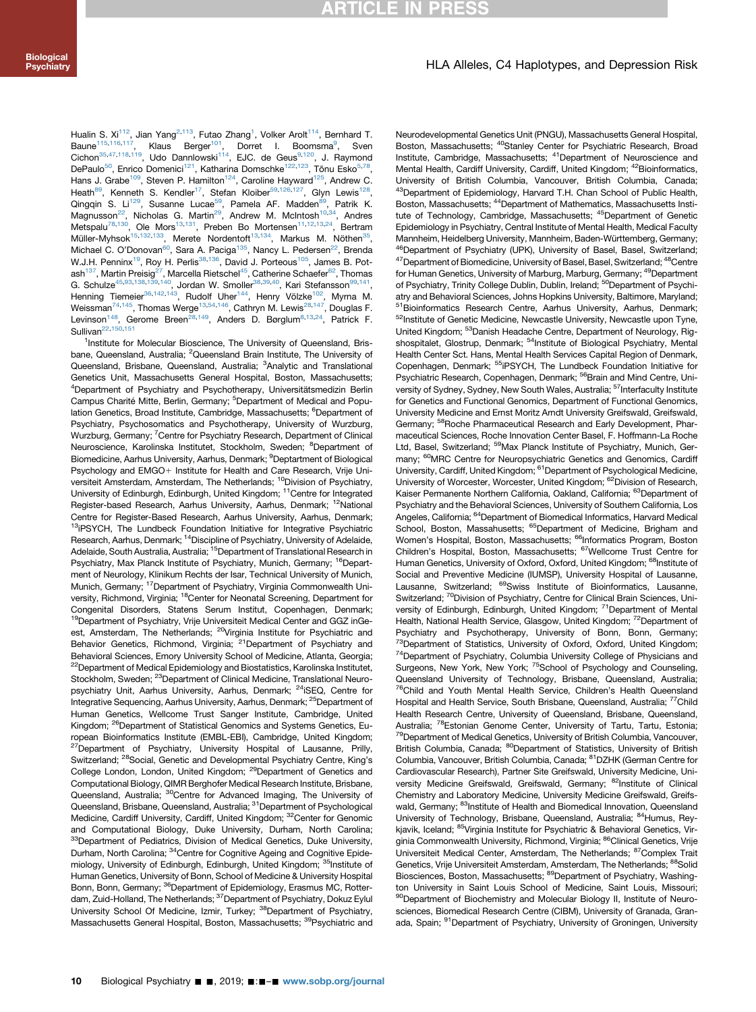#### HLA Alleles, C4 Haplotypes, and Depression Risk

Hualin S. Xi<sup>112</sup>, Jian Yang<sup>2,113</sup>, Futao Zhang<sup>1</sup>, Volker Arolt<sup>114</sup>, Bernhard T. Baune<sup>115,116,117</sup>, Klaus Berger<sup>101</sup>, Dorret I. Boomsma<sup>9</sup>, Sven Cichon<sup>35,47,118,119</sup>, Udo Dannlowski<sup>114</sup>, EJC. de Geus<sup>9,120</sup>, J. Raymond DePaulo<sup>50</sup>, Enrico Domenici<sup>121</sup>, Katharina Domschke<sup>122,123</sup>, Tõnu Esko<sup>5,78</sup>, Hans J. Grabe<sup>109</sup>, Steven P. Hamilton<sup>124</sup>, Caroline Hayward<sup>125</sup>, Andrew C. Heath<sup>89</sup>, Kenneth S. Kendler<sup>17</sup>, Stefan Kloiber<sup>59,126,127</sup>, Glyn Lewis<sup>128</sup>, Qingqin S. Li<sup>129</sup>, Susanne Lucae<sup>59</sup>, Pamela AF. Madden<sup>89</sup>, Patrik K. Magnusson<sup>22</sup>, Nicholas G. Martin<sup>29</sup>, Andrew M. McIntosh<sup>10,34</sup>, Andres Metspalu<sup>78,130</sup>, Ole Mors<sup>13,131</sup>, Preben Bo Mortensen<sup>11,12,13,24</sup>, Bertram Müller-Myhsok<sup>15,132,133</sup>, Merete Nordentoft<sup>13,134</sup>, Markus M. Nöthen<sup>35</sup>, Michael C. O'Donovan<sup>60</sup>, Sara A. Paciga<sup>135</sup>, Nancy L. Pedersen<sup>22</sup>, Brenda W.J.H. Penninx<sup>19</sup>, Roy H. Perlis<sup>38,136</sup>, David J. Porteous<sup>105</sup>, James B. Potash<sup>137</sup>, Martin Preisig<sup>27</sup>, Marcella Rietschel<sup>45</sup>, Catherine Schaefer<sup>62</sup>, Thomas G. Schulze<sup>45,93,138,139,140</sup>, Jordan W. Smoller<sup>38,39,40</sup>, Kari Stefansson<sup>99,141</sup>, Henning Tiemeier<sup>36,142,143</sup>, Rudolf Uher<sup>144</sup>, Henry Völzke<sup>102</sup>, Myrna M. Weissman $^{74,145},$  Thomas Werge $^{13,54,146},$  Cathryn M. Lewis $^{28,147},$  Douglas F. Levinson<sup>148</sup>, Gerome Breen<sup>28,149</sup>, Anders D. Børglum<sup>8,13,24</sup>, Patrick F. Sullivan<sup>22,150,151</sup>

<sup>1</sup>Institute for Molecular Bioscience, The University of Queensland, Brisbane, Queensland, Australia; <sup>2</sup>Queensland Brain Institute, The University of Queensland, Brisbane, Queensland, Australia; <sup>3</sup>Analytic and Translational Genetics Unit, Massachusetts General Hospital, Boston, Massachusetts; 4 Department of Psychiatry and Psychotherapy, Universitätsmedizin Berlin Campus Charité Mitte, Berlin, Germany; <sup>5</sup>Department of Medical and Population Genetics, Broad Institute, Cambridge, Massachusetts; <sup>6</sup>Department of Psychiatry, Psychosomatics and Psychotherapy, University of Wurzburg, Wurzburg, Germany; <sup>7</sup>Centre for Psychiatry Research, Department of Clinical Neuroscience, Karolinska Institutet, Stockholm, Sweden; <sup>8</sup>Department of Biomedicine, Aarhus University, Aarhus, Denmark; <sup>9</sup>Deptartment of Biological Psychology and EMGO+ Institute for Health and Care Research, Vrije Universiteit Amsterdam, Amsterdam, The Netherlands; <sup>10</sup>Division of Psychiatry, University of Edinburgh, Edinburgh, United Kingdom; <sup>11</sup>Centre for Integrated Register-based Research, Aarhus University, Aarhus, Denmark; <sup>12</sup>National Centre for Register-Based Research, Aarhus University, Aarhus, Denmark; 13iPSYCH, The Lundbeck Foundation Initiative for Integrative Psychiatric Research, Aarhus, Denmark; <sup>14</sup>Discipline of Psychiatry, University of Adelaide, Adelaide, South Australia, Australia; 15Department of Translational Research in Psychiatry, Max Planck Institute of Psychiatry, Munich, Germany; <sup>16</sup>Department of Neurology, Klinikum Rechts der Isar, Technical University of Munich, Munich, Germany; <sup>17</sup>Department of Psychiatry, Virginia Commonwealth University, Richmond, Virginia; 18Center for Neonatal Screening, Department for Congenital Disorders, Statens Serum Institut, Copenhagen, Denmark; <sup>19</sup>Department of Psychiatry, Vrije Universiteit Medical Center and GGZ inGeest, Amsterdam, The Netherlands; <sup>20</sup>Virginia Institute for Psychiatric and Behavior Genetics, Richmond, Virginia; <sup>21</sup>Department of Psychiatry and Behavioral Sciences, Emory University School of Medicine, Atlanta, Georgia; <sup>22</sup>Department of Medical Epidemiology and Biostatistics, Karolinska Institutet, Stockholm, Sweden; <sup>23</sup>Department of Clinical Medicine, Translational Neuropsychiatry Unit, Aarhus University, Aarhus, Denmark; <sup>24</sup>iSEQ, Centre for Integrative Sequencing, Aarhus University, Aarhus, Denmark; 25Department of Human Genetics, Wellcome Trust Sanger Institute, Cambridge, United Kingdom; <sup>26</sup>Department of Statistical Genomics and Systems Genetics, European Bioinformatics Institute (EMBL-EBI), Cambridge, United Kingdom; <sup>27</sup>Department of Psychiatry, University Hospital of Lausanne, Prilly, Switzerland; <sup>28</sup>Social, Genetic and Developmental Psychiatry Centre, King's College London, London, United Kingdom; <sup>29</sup>Department of Genetics and Computational Biology, QIMR Berghofer Medical Research Institute, Brisbane, Queensland, Australia; <sup>30</sup>Centre for Advanced Imaging, The University of Queensland, Brisbane, Queensland, Australia; 31Department of Psychological Medicine, Cardiff University, Cardiff, United Kingdom; <sup>32</sup>Center for Genomic and Computational Biology, Duke University, Durham, North Carolina; 33Department of Pediatrics, Division of Medical Genetics, Duke University, Durham, North Carolina; <sup>34</sup>Centre for Cognitive Ageing and Cognitive Epidemiology, University of Edinburgh, Edinburgh, United Kingdom; <sup>35</sup>Institute of Human Genetics, University of Bonn, School of Medicine & University Hospital Bonn, Bonn, Germany; <sup>36</sup>Department of Epidemiology, Erasmus MC, Rotterdam, Zuid-Holland, The Netherlands; <sup>37</sup>Department of Psychiatry, Dokuz Eylul University School Of Medicine, Izmir, Turkey; <sup>38</sup>Department of Psychiatry, Massachusetts General Hospital, Boston, Massachusetts; <sup>39</sup>Psychiatric and Neurodevelopmental Genetics Unit (PNGU), Massachusetts General Hospital, Boston, Massachusetts; <sup>40</sup>Stanley Center for Psychiatric Research, Broad Institute, Cambridge, Massachusetts; 41Department of Neuroscience and Mental Health, Cardiff University, Cardiff, United Kingdom; <sup>42</sup>Bioinformatics, University of British Columbia, Vancouver, British Columbia, Canada; <sup>43</sup>Department of Epidemiology, Harvard T.H. Chan School of Public Health, Boston, Massachusetts; 44Department of Mathematics, Massachusetts Institute of Technology, Cambridge, Massachusetts; <sup>45</sup>Department of Genetic Epidemiology in Psychiatry, Central Institute of Mental Health, Medical Faculty Mannheim, Heidelberg University, Mannheim, Baden-Württemberg, Germany; <sup>46</sup>Department of Psychiatry (UPK), University of Basel, Basel, Switzerland;  $47$ Department of Biomedicine, University of Basel, Basel, Switzerland;  $48$ for Human Genetics, University of Marburg, Marburg, Germany; <sup>49</sup>Department of Psychiatry, Trinity College Dublin, Dublin, Ireland; <sup>50</sup>Department of Psychiatry and Behavioral Sciences, Johns Hopkins University, Baltimore, Maryland; 51Bioinformatics Research Centre, Aarhus University, Aarhus, Denmark; 52Institute of Genetic Medicine, Newcastle University, Newcastle upon Tyne, United Kingdom; <sup>53</sup>Danish Headache Centre, Department of Neurology, Rigshospitalet, Glostrup, Denmark; <sup>54</sup>Institute of Biological Psychiatry, Mental Health Center Sct. Hans, Mental Health Services Capital Region of Denmark, Copenhagen, Denmark; 55iPSYCH, The Lundbeck Foundation Initiative for Psychiatric Research, Copenhagen, Denmark; <sup>56</sup>Brain and Mind Centre, University of Sydney, Sydney, New South Wales, Australia; <sup>57</sup>Interfaculty Institute for Genetics and Functional Genomics, Department of Functional Genomics, University Medicine and Ernst Moritz Arndt University Greifswald, Greifswald, Germany; <sup>58</sup>Roche Pharmaceutical Research and Early Development, Pharmaceutical Sciences, Roche Innovation Center Basel, F. Hoffmann-La Roche Ltd, Basel, Switzerland; <sup>59</sup>Max Planck Institute of Psychiatry, Munich, Germany; <sup>60</sup>MRC Centre for Neuropsychiatric Genetics and Genomics, Cardiff University, Cardiff, United Kingdom; <sup>61</sup>Department of Psychological Medicine, University of Worcester, Worcester, United Kingdom; <sup>62</sup>Division of Research, Kaiser Permanente Northern California, Oakland, California; 63Department of Psychiatry and the Behavioral Sciences, University of Southern California, Los Angeles, California; 64Department of Biomedical Informatics, Harvard Medical School, Boston, Massahusetts; <sup>65</sup>Department of Medicine, Brigham and Women's Hospital, Boston, Massachusetts; <sup>66</sup>Informatics Program, Boston Children's Hospital, Boston, Massachusetts; 67Wellcome Trust Centre for Human Genetics, University of Oxford, Oxford, United Kingdom; <sup>68</sup>Institute of Social and Preventive Medicine (IUMSP), University Hospital of Lausanne, Lausanne, Switzerland; <sup>69</sup>Swiss Institute of Bioinformatics, Lausanne, Switzerland; <sup>70</sup>Division of Psychiatry, Centre for Clinical Brain Sciences, University of Edinburgh, Edinburgh, United Kingdom; <sup>71</sup>Department of Mental Health, National Health Service, Glasgow, United Kingdom; <sup>72</sup>Department of Psychiatry and Psychotherapy, University of Bonn, Bonn, Germany; <sup>73</sup>Department of Statistics, University of Oxford, Oxford, United Kingdom; <sup>74</sup>Department of Psychiatry, Columbia University College of Physicians and Surgeons, New York, New York; <sup>75</sup>School of Psychology and Counseling, Queensland University of Technology, Brisbane, Queensland, Australia; <sup>76</sup>Child and Youth Mental Health Service, Children's Health Queensland Hospital and Health Service, South Brisbane, Queensland, Australia; <sup>77</sup>Child Health Research Centre, University of Queensland, Brisbane, Queensland, Australia; <sup>78</sup>Estonian Genome Center, University of Tartu, Tartu, Estonia; <sup>79</sup>Department of Medical Genetics, University of British Columbia, Vancouver, British Columbia, Canada; <sup>80</sup>Department of Statistics, University of British Columbia, Vancouver, British Columbia, Canada; 81DZHK (German Centre for Cardiovascular Research), Partner Site Greifswald, University Medicine, University Medicine Greifswald, Greifswald, Germany; 82Institute of Clinical Chemistry and Laboratory Medicine, University Medicine Greifswald, Greifswald, Germany; <sup>83</sup>Institute of Health and Biomedical Innovation, Queensland University of Technology, Brisbane, Queensland, Australia; 84Humus, Reykjavik, Iceland; <sup>85</sup>Virginia Institute for Psychiatric & Behavioral Genetics, Virginia Commonwealth University, Richmond, Virginia; <sup>86</sup>Clinical Genetics. Vriie Universiteit Medical Center, Amsterdam, The Netherlands; <sup>87</sup>Complex Trait Genetics, Vrije Universiteit Amsterdam, Amsterdam, The Netherlands; <sup>88</sup>Solid Biosciences, Boston, Massachusetts; 89Department of Psychiatry, Washington University in Saint Louis School of Medicine, Saint Louis, Missouri; 90Department of Biochemistry and Molecular Biology II, Institute of Neurosciences, Biomedical Research Centre (CIBM), University of Granada, Granada, Spain; <sup>91</sup>Department of Psychiatry, University of Groningen, University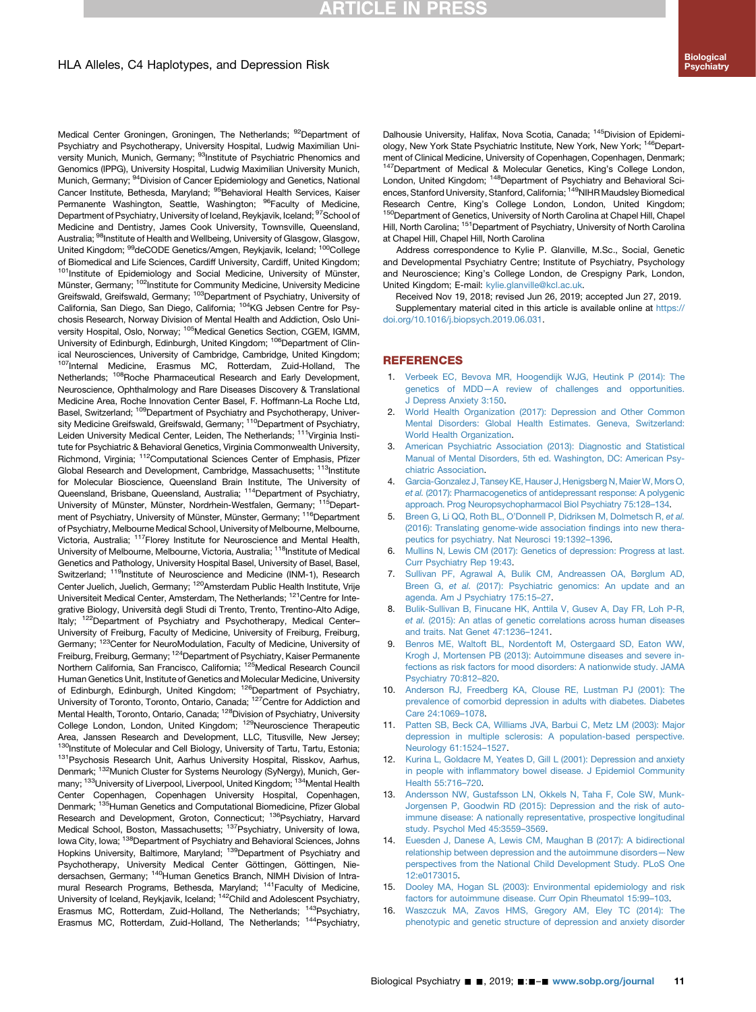### <span id="page-10-0"></span>HLA Alleles, C4 Haplotypes, and Depression Risk

Medical Center Groningen, Groningen, The Netherlands; <sup>92</sup>Department of Psychiatry and Psychotherapy, University Hospital, Ludwig Maximilian University Munich, Munich, Germany; <sup>93</sup>Institute of Psychiatric Phenomics and Genomics (IPPG), University Hospital, Ludwig Maximilian University Munich, Munich, Germany; <sup>94</sup>Division of Cancer Epidemiology and Genetics, National Cancer Institute, Bethesda, Maryland; <sup>95</sup>Behavioral Health Services, Kaiser Permanente Washington, Seattle, Washington; <sup>96</sup>Faculty of Medicine, Department of Psychiatry, University of Iceland, Reykjavik, Iceland; <sup>97</sup>School of Medicine and Dentistry, James Cook University, Townsville, Queensland, Australia; <sup>98</sup>Institute of Health and Wellbeing, University of Glasgow, Glasgow, United Kingdom; <sup>99</sup>deCODE Genetics/Amgen, Reykjavik, Iceland; <sup>100</sup>College of Biomedical and Life Sciences, Cardiff University, Cardiff, United Kingdom; 101Institute of Epidemiology and Social Medicine, University of Münster, Münster, Germany; <sup>102</sup>Institute for Community Medicine, University Medicine Greifswald, Greifswald, Germany; <sup>103</sup>Department of Psychiatry, University of California, San Diego, San Diego, California; 104KG Jebsen Centre for Psychosis Research, Norway Division of Mental Health and Addiction, Oslo University Hospital, Oslo, Norway; <sup>105</sup>Medical Genetics Section, CGEM, IGMM, University of Edinburgh, Edinburgh, United Kingdom; <sup>106</sup>Department of Clinical Neurosciences, University of Cambridge, Cambridge, United Kingdom; 107Internal Medicine, Erasmus MC, Rotterdam, Zuid-Holland, The Netherlands; <sup>108</sup>Roche Pharmaceutical Research and Early Development, Neuroscience, Ophthalmology and Rare Diseases Discovery & Translational Medicine Area, Roche Innovation Center Basel, F. Hoffmann-La Roche Ltd, Basel, Switzerland; <sup>109</sup>Department of Psychiatry and Psychotherapy, University Medicine Greifswald, Greifswald, Germany; <sup>110</sup>Department of Psychiatry, Leiden University Medical Center, Leiden, The Netherlands; <sup>111</sup>Virginia Institute for Psychiatric & Behavioral Genetics, Virginia Commonwealth University, Richmond, Virginia; <sup>112</sup>Computational Sciences Center of Emphasis, Pfizer Global Research and Development, Cambridge, Massachusetts; <sup>113</sup>Institute for Molecular Bioscience, Queensland Brain Institute, The University of Queensland, Brisbane, Queensland, Australia; 114Department of Psychiatry, University of Münster, Münster, Nordrhein-Westfalen, Germany; <sup>115</sup>Department of Psychiatry, University of Münster, Münster, Germany;  $^{116}$ Department of Psychiatry, Melbourne Medical School, University of Melbourne, Melbourne, Victoria, Australia; <sup>117</sup>Florey Institute for Neuroscience and Mental Health, University of Melbourne, Melbourne, Victoria, Australia; 118|Institute of Medical Genetics and Pathology, University Hospital Basel, University of Basel, Basel, Switzerland; <sup>119</sup>Institute of Neuroscience and Medicine (INM-1), Research Center Juelich, Juelich, Germany; 120Amsterdam Public Health Institute, Vrije Universiteit Medical Center, Amsterdam, The Netherlands; <sup>121</sup>Centre for Integrative Biology, Università degli Studi di Trento, Trento, Trentino-Alto Adige, Italy; <sup>122</sup>Department of Psychiatry and Psychotherapy, Medical Center-University of Freiburg, Faculty of Medicine, University of Freiburg, Freiburg, Germany; <sup>123</sup>Center for NeuroModulation, Faculty of Medicine, University of Freiburg, Freiburg, Germany; <sup>124</sup>Department of Psychiatry, Kaiser Permanente Northern California, San Francisco, California; 125Medical Research Council Human Genetics Unit, Institute of Genetics and Molecular Medicine, University of Edinburgh, Edinburgh, United Kingdom; <sup>126</sup>Department of Psychiatry, University of Toronto, Toronto, Ontario, Canada; <sup>127</sup>Centre for Addiction and Mental Health, Toronto, Ontario, Canada; <sup>128</sup>Division of Psychiatry, University College London, London, United Kingdom; <sup>129</sup>Neuroscience Therapeutic Area, Janssen Research and Development, LLC, Titusville, New Jersey; 130 Institute of Molecular and Cell Biology, University of Tartu, Tartu, Estonia; 131Psychosis Research Unit, Aarhus University Hospital, Risskov, Aarhus, Denmark; <sup>132</sup>Munich Cluster for Systems Neurology (SyNergy), Munich, Germany; <sup>133</sup>University of Liverpool, Liverpool, United Kingdom; <sup>134</sup>Mental Health Center Copenhagen, Copenhagen University Hospital, Copenhagen, Denmark; <sup>135</sup>Human Genetics and Computational Biomedicine, Pfizer Global Research and Development, Groton, Connecticut; <sup>136</sup>Psychiatry, Harvard Medical School, Boston, Massachusetts; <sup>137</sup>Psychiatry, University of Iowa, Iowa City, Iowa; <sup>138</sup>Department of Psychiatry and Behavioral Sciences, Johns Hopkins University, Baltimore, Maryland; <sup>139</sup>Department of Psychiatry and Psychotherapy, University Medical Center Göttingen, Göttingen, Niedersachsen, Germany; <sup>140</sup>Human Genetics Branch, NIMH Division of Intramural Research Programs, Bethesda, Maryland; <sup>141</sup> Faculty of Medicine, University of Iceland, Reykjavik, Iceland; 142Child and Adolescent Psychiatry, Erasmus MC, Rotterdam, Zuid-Holland, The Netherlands; <sup>143</sup>Psychiatry, Erasmus MC, Rotterdam, Zuid-Holland, The Netherlands; <sup>144</sup>Psychiatry,

Dalhousie University, Halifax, Nova Scotia, Canada; <sup>145</sup>Division of Epidemiology, New York State Psychiatric Institute, New York, New York; <sup>146</sup>Department of Clinical Medicine, University of Copenhagen, Copenhagen, Denmark;

<sup>147</sup>Department of Medical & Molecular Genetics, King's College London, London, United Kingdom; 148Department of Psychiatry and Behavioral Sciences, Stanford University, Stanford, California; <sup>149</sup>NIHR Maudsley Biomedical Research Centre, King's College London, London, United Kingdom; <sup>150</sup>Department of Genetics, University of North Carolina at Chapel Hill, Chapel Hill, North Carolina; <sup>151</sup>Department of Psychiatry, University of North Carolina at Chapel Hill, Chapel Hill, North Carolina

Address correspondence to Kylie P. Glanville, M.Sc., Social, Genetic and Developmental Psychiatry Centre; Institute of Psychiatry, Psychology and Neuroscience; King's College London, de Crespigny Park, London, United Kingdom; E-mail: [kylie.glanville@kcl.ac.uk.](mailto:kylie.glanville@kcl.ac.uk)

Received Nov 19, 2018; revised Jun 26, 2019; accepted Jun 27, 2019. Supplementary material cited in this article is available online at [https://](https://doi.org/10.1016/j.biopsych.2019.06.031) [doi.org/10.1016/j.biopsych.2019.06.031.](https://doi.org/10.1016/j.biopsych.2019.06.031)

#### REFERENCES

- 1. [Verbeek EC, Bevova MR, Hoogendijk WJG, Heutink P \(2014\): The](http://refhub.elsevier.com/S0006-3223(19)31558-6/sref1) genetics of MDD—[A review of challenges and opportunities.](http://refhub.elsevier.com/S0006-3223(19)31558-6/sref1) [J Depress Anxiety 3:150](http://refhub.elsevier.com/S0006-3223(19)31558-6/sref1).
- 2. [World Health Organization \(2017\): Depression and Other Common](http://refhub.elsevier.com/S0006-3223(19)31558-6/sref2) [Mental Disorders: Global Health Estimates. Geneva, Switzerland:](http://refhub.elsevier.com/S0006-3223(19)31558-6/sref2) [World Health Organization.](http://refhub.elsevier.com/S0006-3223(19)31558-6/sref2)
- 3. [American Psychiatric Association \(2013\): Diagnostic and Statistical](http://refhub.elsevier.com/S0006-3223(19)31558-6/sref3) [Manual of Mental Disorders, 5th ed. Washington, DC: American Psy](http://refhub.elsevier.com/S0006-3223(19)31558-6/sref3)[chiatric Association.](http://refhub.elsevier.com/S0006-3223(19)31558-6/sref3)
- 4. [Garcia-Gonzalez J, Tansey KE, Hauser J, Henigsberg N, Maier W, Mors O,](http://refhub.elsevier.com/S0006-3223(19)31558-6/sref4) et al. [\(2017\): Pharmacogenetics of antidepressant response: A polygenic](http://refhub.elsevier.com/S0006-3223(19)31558-6/sref4) [approach. Prog Neuropsychopharmacol Biol Psychiatry 75:128](http://refhub.elsevier.com/S0006-3223(19)31558-6/sref4)–134.
- 5. Breen G, Li QQ, Roth BL, O'[Donnell P, Didriksen M, Dolmetsch R,](http://refhub.elsevier.com/S0006-3223(19)31558-6/sref5) et al. [\(2016\): Translating genome-wide association](http://refhub.elsevier.com/S0006-3223(19)31558-6/sref5) findings into new thera[peutics for psychiatry. Nat Neurosci 19:1392](http://refhub.elsevier.com/S0006-3223(19)31558-6/sref5)–1396.
- 6. [Mullins N, Lewis CM \(2017\): Genetics of depression: Progress at last.](http://refhub.elsevier.com/S0006-3223(19)31558-6/sref6) [Curr Psychiatry Rep 19:43](http://refhub.elsevier.com/S0006-3223(19)31558-6/sref6).
- 7. [Sullivan PF, Agrawal A, Bulik CM, Andreassen OA, Børglum AD,](http://refhub.elsevier.com/S0006-3223(19)31558-6/sref7) Breen G, et al. [\(2017\): Psychiatric genomics: An update and an](http://refhub.elsevier.com/S0006-3223(19)31558-6/sref7) [agenda. Am J Psychiatry 175:15](http://refhub.elsevier.com/S0006-3223(19)31558-6/sref7)–27.
- 8. [Bulik-Sullivan B, Finucane HK, Anttila V, Gusev A, Day FR, Loh P-R,](http://refhub.elsevier.com/S0006-3223(19)31558-6/sref8) et al. [\(2015\): An atlas of genetic correlations across human diseases](http://refhub.elsevier.com/S0006-3223(19)31558-6/sref8) [and traits. Nat Genet 47:1236](http://refhub.elsevier.com/S0006-3223(19)31558-6/sref8)–1241.
- 9. [Benros ME, Waltoft BL, Nordentoft M, Ostergaard SD, Eaton WW,](http://refhub.elsevier.com/S0006-3223(19)31558-6/sref9) [Krogh J, Mortensen PB \(2013\): Autoimmune diseases and severe in](http://refhub.elsevier.com/S0006-3223(19)31558-6/sref9)[fections as risk factors for mood disorders: A nationwide study. JAMA](http://refhub.elsevier.com/S0006-3223(19)31558-6/sref9) [Psychiatry 70:812](http://refhub.elsevier.com/S0006-3223(19)31558-6/sref9)–820.
- 10. [Anderson RJ, Freedberg KA, Clouse RE, Lustman PJ \(2001\): The](http://refhub.elsevier.com/S0006-3223(19)31558-6/sref10) [prevalence of comorbid depression in adults with diabetes. Diabetes](http://refhub.elsevier.com/S0006-3223(19)31558-6/sref10) [Care 24:1069](http://refhub.elsevier.com/S0006-3223(19)31558-6/sref10)–1078.
- 11. [Patten SB, Beck CA, Williams JVA, Barbui C, Metz LM \(2003\): Major](http://refhub.elsevier.com/S0006-3223(19)31558-6/sref11) [depression in multiple sclerosis: A population-based perspective.](http://refhub.elsevier.com/S0006-3223(19)31558-6/sref11) [Neurology 61:1524](http://refhub.elsevier.com/S0006-3223(19)31558-6/sref11)–1527.
- 12. [Kurina L, Goldacre M, Yeates D, Gill L \(2001\): Depression and anxiety](http://refhub.elsevier.com/S0006-3223(19)31558-6/sref12) in people with infl[ammatory bowel disease. J Epidemiol Community](http://refhub.elsevier.com/S0006-3223(19)31558-6/sref12) [Health 55:716](http://refhub.elsevier.com/S0006-3223(19)31558-6/sref12)–720.
- 13. [Andersson NW, Gustafsson LN, Okkels N, Taha F, Cole SW, Munk-](http://refhub.elsevier.com/S0006-3223(19)31558-6/sref13)[Jorgensen P, Goodwin RD \(2015\): Depression and the risk of auto](http://refhub.elsevier.com/S0006-3223(19)31558-6/sref13)[immune disease: A nationally representative, prospective longitudinal](http://refhub.elsevier.com/S0006-3223(19)31558-6/sref13) [study. Psychol Med 45:3559](http://refhub.elsevier.com/S0006-3223(19)31558-6/sref13)–3569.
- 14. [Euesden J, Danese A, Lewis CM, Maughan B \(2017\): A bidirectional](http://refhub.elsevier.com/S0006-3223(19)31558-6/sref14) [relationship between depression and the autoimmune disorders](http://refhub.elsevier.com/S0006-3223(19)31558-6/sref14)—New [perspectives from the National Child Development Study. PLoS One](http://refhub.elsevier.com/S0006-3223(19)31558-6/sref14) [12:e0173015](http://refhub.elsevier.com/S0006-3223(19)31558-6/sref14).
- 15. [Dooley MA, Hogan SL \(2003\): Environmental epidemiology and risk](http://refhub.elsevier.com/S0006-3223(19)31558-6/sref15) [factors for autoimmune disease. Curr Opin Rheumatol 15:99](http://refhub.elsevier.com/S0006-3223(19)31558-6/sref15)–103.
- 16. [Waszczuk MA, Zavos HMS, Gregory AM, Eley TC \(2014\): The](http://refhub.elsevier.com/S0006-3223(19)31558-6/sref16) [phenotypic and genetic structure of depression and anxiety disorder](http://refhub.elsevier.com/S0006-3223(19)31558-6/sref16)